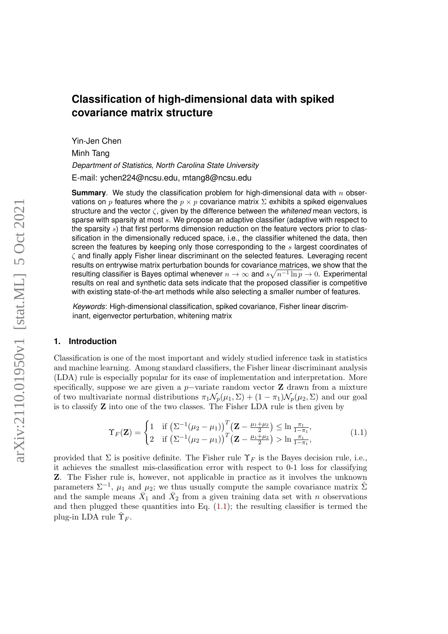# **Classification of high-dimensional data with spiked covariance matrix structure**

Yin-Jen Chen Minh Tang *Department of Statistics, North Carolina State University* E-mail: ychen224@ncsu.edu, mtang8@ncsu.edu

**Summary**. We study the classification problem for high-dimensional data with n observations on p features where the  $p \times p$  covariance matrix  $\Sigma$  exhibits a spiked eigenvalues structure and the vector ζ, given by the difference between the *whitened* mean vectors, is sparse with sparsity at most s. We propose an adaptive classifier (adaptive with respect to the sparsity  $s$ ) that first performs dimension reduction on the feature vectors prior to classification in the dimensionally reduced space, i.e., the classifier whitened the data, then screen the features by keeping only those corresponding to the  $s$  largest coordinates of ζ and finally apply Fisher linear discriminant on the selected features. Leveraging recent results on entrywise matrix perturbation bounds for covariance matrices, we show that the resulting classifier is Bayes optimal whenever  $n\to\infty$  and  $s\sqrt{n^{-1}\ln p}\to 0.$  Experimental results on real and synthetic data sets indicate that the proposed classifier is competitive with existing state-of-the-art methods while also selecting a smaller number of features.

*Keywords*: High-dimensional classification, spiked covariance, Fisher linear discriminant, eigenvector perturbation, whitening matrix

## **1. Introduction**

Classification is one of the most important and widely studied inference task in statistics and machine learning. Among standard classifiers, the Fisher linear discriminant analysis (LDA) rule is especially popular for its ease of implementation and interpretation. More specifically, suppose we are given a p–variate random vector  $Z$  drawn from a mixture of two multivariate normal distributions  $\pi_1 \mathcal{N}_p(\mu_1, \Sigma) + (1 - \pi_1) \mathcal{N}_p(\mu_2, \Sigma)$  and our goal is to classify Z into one of the two classes. The Fisher LDA rule is then given by

<span id="page-0-0"></span>
$$
\Upsilon_F(\mathbf{Z}) = \begin{cases} 1 & \text{if } \left(\Sigma^{-1}(\mu_2 - \mu_1)\right)^T \left(\mathbf{Z} - \frac{\mu_1 + \mu_2}{2}\right) \le \ln \frac{\pi_1}{1 - \pi_1}, \\ 2 & \text{if } \left(\Sigma^{-1}(\mu_2 - \mu_1)\right)^T \left(\mathbf{Z} - \frac{\mu_1 + \mu_2}{2}\right) > \ln \frac{\pi_1}{1 - \pi_1}, \end{cases}
$$
(1.1)

provided that  $\Sigma$  is positive definite. The Fisher rule  $\Upsilon_F$  is the Bayes decision rule, i.e., it achieves the smallest mis-classification error with respect to 0-1 loss for classifying Z. The Fisher rule is, however, not applicable in practice as it involves the unknown parameters  $\Sigma^{-1}$ ,  $\mu_1$  and  $\mu_2$ ; we thus usually compute the sample covariance matrix  $\hat{\Sigma}$ and the sample means  $\bar{X}_1$  and  $\bar{X}_2$  from a given training data set with n observations and then plugged these quantities into Eq.  $(1.1)$ ; the resulting classifier is termed the plug-in LDA rule  $\hat{\Upsilon}_F$ .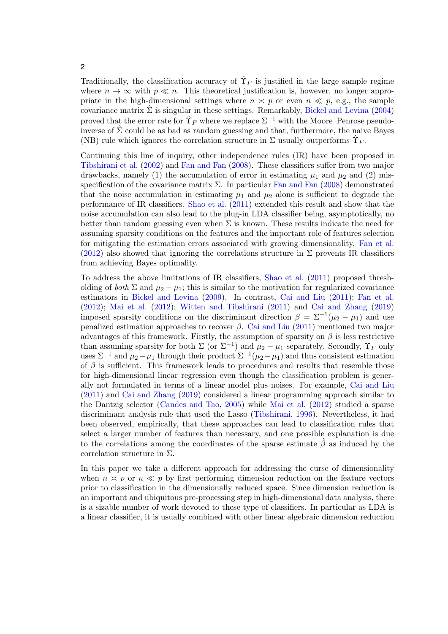2

Traditionally, the classification accuracy of  $\hat{\Upsilon}_F$  is justified in the large sample regime where  $n \to \infty$  with  $p \ll n$ . This theoretical justification is, however, no longer appropriate in the high-dimensional settings where  $n \leq p$  or even  $n \leq p$ , e.g., the sample covariance matrix  $\hat{\Sigma}$  is singular in these settings. Remarkably, [Bickel and Levina](#page-25-0) [\(2004\)](#page-25-0) proved that the error rate for  $\hat{\Upsilon}_F$  where we replace  $\Sigma^{-1}$  with the Moore–Penrose pseudoinverse of  $\hat{\Sigma}$  could be as bad as random guessing and that, furthermore, the naive Bayes (NB) rule which ignores the correlation structure in  $\Sigma$  usually outperforms  $\hat{\Upsilon}_F$ .

Continuing this line of inquiry, other independence rules (IR) have been proposed in [Tibshirani et al.](#page-27-0) [\(2002\)](#page-27-0) and [Fan and Fan](#page-25-1) [\(2008\)](#page-25-1). These classifiers suffer from two major drawbacks, namely (1) the accumulation of error in estimating  $\mu_1$  and  $\mu_2$  and (2) misspecification of the covariance matrix  $\Sigma$ . In particular [Fan and Fan](#page-25-1) [\(2008\)](#page-25-1) demonstrated that the noise accumulation in estimating  $\mu_1$  and  $\mu_2$  alone is sufficient to degrade the performance of IR classifiers. [Shao et al.](#page-27-1) [\(2011\)](#page-27-1) extended this result and show that the noise accumulation can also lead to the plug-in LDA classifier being, asymptotically, no better than random guessing even when  $\Sigma$  is known. These results indicate the need for assuming sparsity conditions on the features and the important role of features selection for mitigating the estimation errors associated with growing dimensionality. [Fan et al.](#page-25-2) [\(2012\)](#page-25-2) also showed that ignoring the correlations structure in  $\Sigma$  prevents IR classifiers from achieving Bayes optimality.

To address the above limitations of IR classifiers, [Shao et al.](#page-27-1) [\(2011\)](#page-27-1) proposed thresholding of both  $\Sigma$  and  $\mu_2 - \mu_1$ ; this is similar to the motivation for regularized covariance estimators in [Bickel and Levina](#page-25-3) [\(2009\)](#page-25-3). In contrast, [Cai and Liu](#page-25-4) [\(2011\)](#page-25-4); [Fan et al.](#page-25-2) [\(2012\)](#page-25-2); [Mai et al.](#page-26-0) [\(2012\)](#page-26-0); [Witten and Tibshirani](#page-27-2) [\(2011\)](#page-27-2) and [Cai and Zhang](#page-25-5) [\(2019\)](#page-25-5) imposed sparsity conditions on the discriminant direction  $\beta = \sum^{-1} (\mu_2 - \mu_1)$  and use penalized estimation approaches to recover  $\beta$ . [Cai and Liu](#page-25-4) [\(2011\)](#page-25-4) mentioned two major advantages of this framework. Firstly, the assumption of sparsity on  $\beta$  is less restrictive than assuming sparsity for both  $\Sigma$  (or  $\Sigma^{-1}$ ) and  $\mu_2 - \mu_1$  separately. Secondly,  $\Upsilon_F$  only uses  $\Sigma^{-1}$  and  $\mu_2 - \mu_1$  through their product  $\Sigma^{-1}(\mu_2 - \mu_1)$  and thus consistent estimation of  $\beta$  is sufficient. This framework leads to procedures and results that resemble those for high-dimensional linear regression even though the classification problem is generally not formulated in terms of a linear model plus noises. For example, [Cai and Liu](#page-25-4) [\(2011\)](#page-25-4) and [Cai and Zhang](#page-25-5) [\(2019\)](#page-25-5) considered a linear programming approach similar to the Dantzig selector [\(Candes and Tao,](#page-25-6) [2005\)](#page-25-6) while [Mai et al.](#page-26-0) [\(2012\)](#page-26-0) studied a sparse discriminant analysis rule that used the Lasso [\(Tibshirani,](#page-27-3) [1996\)](#page-27-3). Nevertheless, it had been observed, empirically, that these approaches can lead to classification rules that select a larger number of features than necessary, and one possible explanation is due to the correlations among the coordinates of the sparse estimate  $\hat{\beta}$  as induced by the correlation structure in Σ.

In this paper we take a different approach for addressing the curse of dimensionality when  $n \simeq p$  or  $n \ll p$  by first performing dimension reduction on the feature vectors prior to classification in the dimensionally reduced space. Since dimension reduction is an important and ubiquitous pre-processing step in high-dimensional data analysis, there is a sizable number of work devoted to these type of classifiers. In particular as LDA is a linear classifier, it is usually combined with other linear algebraic dimension reduction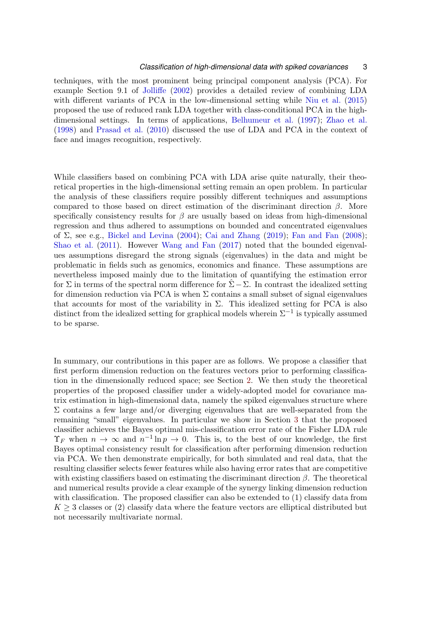techniques, with the most prominent being principal component analysis (PCA). For example Section 9.1 of [Jolliffe](#page-26-1) [\(2002\)](#page-26-1) provides a detailed review of combining LDA with different variants of PCA in the low-dimensional setting while [Niu et al.](#page-26-2) [\(2015\)](#page-26-2) proposed the use of reduced rank LDA together with class-conditional PCA in the highdimensional settings. In terms of applications, [Belhumeur et al.](#page-24-0) [\(1997\)](#page-24-0); [Zhao et al.](#page-27-4) [\(1998\)](#page-27-4) and [Prasad et al.](#page-26-3) [\(2010\)](#page-26-3) discussed the use of LDA and PCA in the context of face and images recognition, respectively.

While classifiers based on combining PCA with LDA arise quite naturally, their theoretical properties in the high-dimensional setting remain an open problem. In particular the analysis of these classifiers require possibly different techniques and assumptions compared to those based on direct estimation of the discriminant direction  $\beta$ . More specifically consistency results for  $\beta$  are usually based on ideas from high-dimensional regression and thus adhered to assumptions on bounded and concentrated eigenvalues of  $\Sigma$ , see e.g., [Bickel and Levina](#page-25-0) [\(2004\)](#page-25-0); [Cai and Zhang](#page-25-5) [\(2019\)](#page-25-5); [Fan and Fan](#page-25-1) [\(2008\)](#page-25-1); [Shao et al.](#page-27-1) [\(2011\)](#page-27-1). However [Wang and Fan](#page-27-5) [\(2017\)](#page-27-5) noted that the bounded eigenvalues assumptions disregard the strong signals (eigenvalues) in the data and might be problematic in fields such as genomics, economics and finance. These assumptions are nevertheless imposed mainly due to the limitation of quantifying the estimation error for  $\Sigma$  in terms of the spectral norm difference for  $\Sigma - \Sigma$ . In contrast the idealized setting for dimension reduction via PCA is when  $\Sigma$  contains a small subset of signal eigenvalues that accounts for most of the variability in  $\Sigma$ . This idealized setting for PCA is also distinct from the idealized setting for graphical models wherein  $\Sigma^{-1}$  is typically assumed to be sparse.

In summary, our contributions in this paper are as follows. We propose a classifier that first perform dimension reduction on the features vectors prior to performing classification in the dimensionally reduced space; see Section [2.](#page-3-0) We then study the theoretical properties of the proposed classifier under a widely-adopted model for covariance matrix estimation in high-dimensional data, namely the spiked eigenvalues structure where  $\Sigma$  contains a few large and/or diverging eigenvalues that are well-separated from the remaining "small" eigenvalues. In particular we show in Section [3](#page-11-0) that the proposed classifier achieves the Bayes optimal mis-classification error rate of the Fisher LDA rule  $\Upsilon_F$  when  $n \to \infty$  and  $n^{-1} \ln p \to 0$ . This is, to the best of our knowledge, the first Bayes optimal consistency result for classification after performing dimension reduction via PCA. We then demonstrate empirically, for both simulated and real data, that the resulting classifier selects fewer features while also having error rates that are competitive with existing classifiers based on estimating the discriminant direction  $\beta$ . The theoretical and numerical results provide a clear example of the synergy linking dimension reduction with classification. The proposed classifier can also be extended to (1) classify data from  $K \geq 3$  classes or (2) classify data where the feature vectors are elliptical distributed but not necessarily multivariate normal.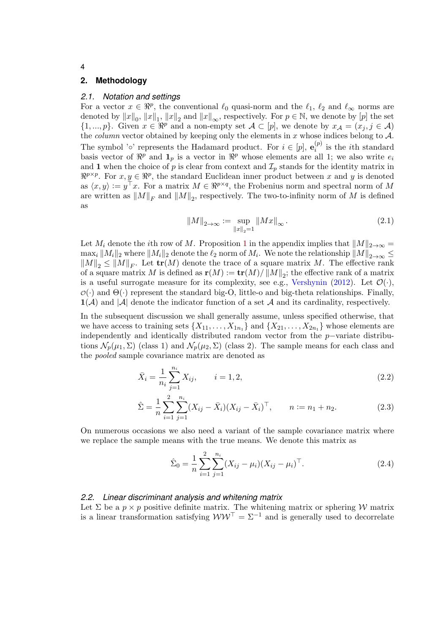### <span id="page-3-0"></span>**2. Methodology**

### *2.1. Notation and settings*

For a vector  $x \in \mathbb{R}^p$ , the conventional  $\ell_0$  quasi-norm and the  $\ell_1$ ,  $\ell_2$  and  $\ell_\infty$  norms are denoted by  $||x||_0$ ,  $||x||_1$ ,  $||x||_2$  and  $||x||_{\infty}$ , respectively. For  $p \in \mathbb{N}$ , we denote by  $[p]$  the set  $\{1, ..., p\}$ . Given  $x \in \mathbb{R}^p$  and a non-empty set  $\mathcal{A} \subset [p]$ , we denote by  $x_{\mathcal{A}} = (x_j, j \in \mathcal{A})$ the *column* vector obtained by keeping only the elements in  $x$  whose indices belong to  $\mathcal{A}$ . The symbol ' $\circ$ ' represents the Hadamard product. For  $i \in [p], \mathbf{e}_i^{(p)}$  $i^{(p)}$  is the *i*<sup>th</sup> standard basis vector of  $\mathbb{R}^p$  and  $\mathbf{1}_p$  is a vector in  $\mathbb{R}^p$  whose elements are all 1; we also write  $e_i$ and 1 when the choice of p is clear from context and  $\mathcal{I}_p$  stands for the identity matrix in  $\mathbb{R}^{p \times p}$ . For  $x, y \in \mathbb{R}^p$ , the standard Euclidean inner product between x and y is denoted as  $\langle x, y \rangle := y^{\top} x$ . For a matrix  $M \in \mathbb{R}^{p \times q}$ , the Frobenius norm and spectral norm of M are written as  $||M||_F$  and  $||M||_2$ , respectively. The two-to-infinity norm of M is defined as

$$
||M||_{2\to\infty} := \sup_{||x||_2=1} ||Mx||_{\infty}.
$$
\n(2.1)

Let  $M_i$  denote the *i*th row of M. Proposition [1](#page-29-0) in the appendix implies that  $||M||_{2\to\infty}$  =  $\max_i \|M_i\|_2$  where  $\|M_i\|_2$  denote the  $\ell_2$  norm of  $M_i$ . We note the relationship  $\|M\|_{2\to\infty} \leq$  $||M||_2 \le ||M||_F$ . Let  $tr(M)$  denote the trace of a square matrix M. The effective rank of a square matrix M is defined as  $\mathbf{r}(M) := \mathbf{tr}(M) / ||M||_2$ ; the effective rank of a matrix is a useful surrogate measure for its complexity, see e.g., [Vershynin](#page-27-6) [\(2012\)](#page-27-6). Let  $\mathcal{O}(\cdot)$ ,  $\mathcal{O}(\cdot)$  and  $\Theta(\cdot)$  represent the standard big-O, little-o and big-theta relationships. Finally,  $1(\mathcal{A})$  and  $|\mathcal{A}|$  denote the indicator function of a set  $\mathcal{A}$  and its cardinality, respectively.

In the subsequent discussion we shall generally assume, unless specified otherwise, that we have access to training sets  $\{X_{11}, \ldots, X_{1n_1}\}$  and  $\{X_{21}, \ldots, X_{2n_1}\}$  whose elements are independently and identically distributed random vector from the p−variate distributions  $\mathcal{N}_p(\mu_1, \Sigma)$  (class 1) and  $\mathcal{N}_p(\mu_2, \Sigma)$  (class 2). The sample means for each class and the pooled sample covariance matrix are denoted as

$$
\bar{X}_i = \frac{1}{n_i} \sum_{j=1}^{n_i} X_{ij}, \qquad i = 1, 2,
$$
\n(2.2)

$$
\hat{\Sigma} = \frac{1}{n} \sum_{i=1}^{n} \sum_{j=1}^{n_i} (X_{ij} - \bar{X}_i)(X_{ij} - \bar{X}_i)^\top, \qquad n := n_1 + n_2.
$$
 (2.3)

On numerous occasions we also need a variant of the sample covariance matrix where we replace the sample means with the true means. We denote this matrix as

<span id="page-3-2"></span>
$$
\hat{\Sigma}_0 = \frac{1}{n} \sum_{i=1}^2 \sum_{j=1}^{n_i} (X_{ij} - \mu_i)(X_{ij} - \mu_i)^\top.
$$
\n(2.4)

## <span id="page-3-1"></span>*2.2. Linear discriminant analysis and whitening matrix*

Let  $\Sigma$  be a  $p \times p$  positive definite matrix. The whitening matrix or sphering W matrix is a linear transformation satisfying  $WW^{\top} = \Sigma^{-1}$  and is generally used to decorrelate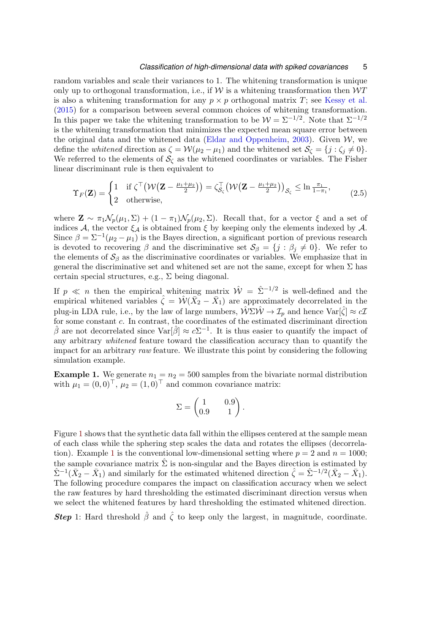random variables and scale their variances to 1. The whitening transformation is unique only up to orthogonal transformation, i.e., if  $W$  is a whitening transformation then  $WT$ is also a whitening transformation for any  $p \times p$  orthogonal matrix T; see [Kessy et al.](#page-26-4) [\(2015\)](#page-26-4) for a comparison between several common choices of whitening transformation. In this paper we take the whitening transformation to be  $\mathcal{W} = \Sigma^{-1/2}$ . Note that  $\Sigma^{-1/2}$ is the whitening transformation that minimizes the expected mean square error between the original data and the whitened data [\(Eldar and Oppenheim,](#page-25-7) [2003\)](#page-25-7). Given  $W$ , we define the *whitened* direction as  $\zeta = \mathcal{W}(\mu_2 - \mu_1)$  and the whitened set  $\mathcal{S}_{\zeta} = \{j : \zeta_j \neq 0\}.$ We referred to the elements of  $\mathcal{S}_{\zeta}$  as the whitened coordinates or variables. The Fisher linear discriminant rule is then equivalent to

$$
\Upsilon_F(\mathbf{Z}) = \begin{cases} 1 & \text{if } \zeta^\top \big(\mathcal{W}(\mathbf{Z} - \frac{\mu_1 + \mu_2}{2})\big) = \zeta_{\mathcal{S}_\zeta}^\top \big(\mathcal{W}(\mathbf{Z} - \frac{\mu_1 + \mu_2}{2})\big)_{\mathcal{S}_\zeta} \le \ln \frac{\pi_1}{1 - \pi_1}, \\ 2 & \text{otherwise,} \end{cases} \tag{2.5}
$$

where  $\mathbf{Z} \sim \pi_1 \mathcal{N}_p(\mu_1, \Sigma) + (1 - \pi_1) \mathcal{N}_p(\mu_2, \Sigma)$ . Recall that, for a vector  $\xi$  and a set of indices A, the vector  $\xi_A$  is obtained from  $\xi$  by keeping only the elements indexed by A. Since  $\beta = \sum^{-1}(\mu_2 - \mu_1)$  is the Bayes direction, a significant portion of previous research is devoted to recovering  $\beta$  and the discriminative set  $\mathcal{S}_{\beta} = \{j : \beta_j \neq 0\}$ . We refer to the elements of  $S_\beta$  as the discriminative coordinates or variables. We emphasize that in general the discriminative set and whitened set are not the same, except for when  $\Sigma$  has certain special structures, e.g.,  $\Sigma$  being diagonal.

If  $p \ll n$  then the empirical whitening matrix  $\hat{W} = \hat{\Sigma}^{-1/2}$  is well-defined and the empirical whitened variables  $\hat{\zeta} = \hat{\mathcal{W}}(\bar{X}_2 - \bar{X}_1)$  are approximately decorrelated in the plug-in LDA rule, i.e., by the law of large numbers,  $\hat{W}\Sigma \hat{W} \to \mathcal{I}_p$  and hence  $\text{Var}[\hat{\zeta}] \approx c\mathcal{I}$ for some constant c. In contrast, the coordinates of the estimated discriminant direction  $\hat{\beta}$  are not decorrelated since  $\text{Var}[\hat{\beta}] \approx c\Sigma^{-1}$ . It is thus easier to quantify the impact of any arbitrary whitened feature toward the classification accuracy than to quantify the impact for an arbitrary raw feature. We illustrate this point by considering the following simulation example.

<span id="page-4-0"></span>**Example 1.** We generate  $n_1 = n_2 = 500$  samples from the bivariate normal distribution with  $\mu_1 = (0, 0)^\top$ ,  $\mu_2 = (1, 0)^\top$  and common covariance matrix:

$$
\Sigma = \begin{pmatrix} 1 & 0.9 \\ 0.9 & 1 \end{pmatrix}.
$$

Figure [1](#page-5-0) shows that the synthetic data fall within the ellipses centered at the sample mean of each class while the sphering step scales the data and rotates the ellipses (decorrela-tion). Example [1](#page-4-0) is the conventional low-dimensional setting where  $p = 2$  and  $n = 1000$ ; the sample covariance matrix  $\hat{\Sigma}$  is non-singular and the Bayes direction is estimated by  $\hat{\Sigma}^{-1}(\bar{X}_2 - \bar{X}_1)$  and similarly for the estimated whitened direction  $\hat{\zeta} = \hat{\Sigma}^{-1/2}(\bar{X}_2 - \bar{X}_1)$ . The following procedure compares the impact on classification accuracy when we select the raw features by hard thresholding the estimated discriminant direction versus when we select the whitened features by hard thresholding the estimated whitened direction.

**Step** 1: Hard threshold  $\hat{\beta}$  and  $\hat{\zeta}$  to keep only the largest, in magnitude, coordinate.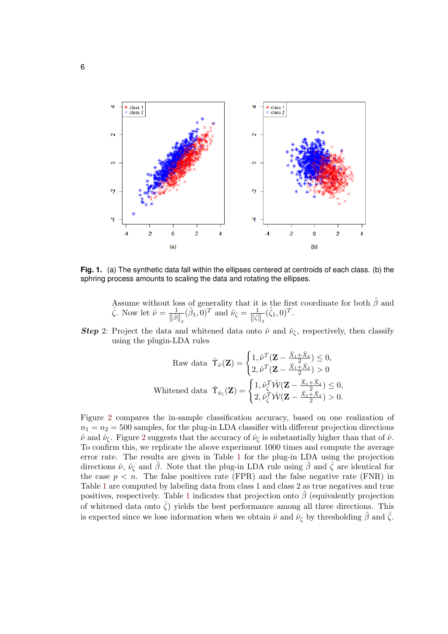

<span id="page-5-0"></span>**Fig. 1.** (a) The synthetic data fall within the ellipses centered at centroids of each class. (b) the sphring process amounts to scaling the data and rotating the ellipses.

Assume without loss of generality that it is the first coordinate for both  $\hat{\beta}$  and  $\hat{\zeta}$ . Now let  $\hat{\nu} = \frac{1}{\|\hat{\beta}\|_2}$  $(\hat{\beta}_1, 0)^T$  and  $\hat{\nu}_{\zeta} = \frac{1}{\|\hat{\zeta}\|_2} (\hat{\zeta}_1, 0)^T$ .

**Step 2:** Project the data and whitened data onto  $\hat{\nu}$  and  $\hat{\nu}_{\zeta}$ , respectively, then classify using the plugin-LDA rules

$$
\text{Raw data }\hat{\Upsilon}_{\hat{\nu}}(\mathbf{Z}) = \begin{cases} 1, \hat{\nu}^T(\mathbf{Z} - \frac{\bar{X}_1 + \bar{X}_2}{2}) \leq 0, \\ 2, \hat{\nu}^T(\mathbf{Z} - \frac{\bar{X}_1 + \bar{X}_2}{2}) > 0 \end{cases}
$$
\n
$$
\text{Whitened data }\hat{\Upsilon}_{\hat{\nu}_{\zeta}}(\mathbf{Z}) = \begin{cases} 1, \hat{\nu}_{\zeta}^T \hat{\mathcal{W}}(\mathbf{Z} - \frac{\bar{X}_1 + \bar{X}_2}{2}) \leq 0, \\ 2, \hat{\nu}_{\zeta}^T \hat{\mathcal{W}}(\mathbf{Z} - \frac{\bar{X}_1 + \bar{X}_2}{2}) > 0. \end{cases}
$$

Figure [2](#page-6-0) compares the in-sample classification accuracy, based on one realization of  $n_1 = n_2 = 500$  samples, for the plug-in LDA classifier with different projection directions  $\hat{\nu}$  and  $\hat{\nu}_{\zeta}$ . Figure [2](#page-6-0) suggests that the accuracy of  $\hat{\nu}_{\zeta}$  is substantially higher than that of  $\hat{\nu}$ . To confirm this, we replicate the above experiment 1000 times and compute the average error rate. The results are given in Table [1](#page-6-1) for the plug-in LDA using the projection directions  $\hat{\nu}$ ,  $\hat{\nu}_{\zeta}$  and  $\hat{\beta}$ . Note that the plug-in LDA rule using  $\hat{\beta}$  and  $\hat{\zeta}$  are identical for the case  $p < n$ . The false positives rate (FPR) and the false negative rate (FNR) in Table [1](#page-6-1) are computed by labeling data from class 1 and class 2 as true negatives and true positives, respectively. Table [1](#page-6-1) indicates that projection onto  $\beta$  (equivalently projection of whitened data onto  $\zeta$ ) yields the best performance among all three directions. This is expected since we lose information when we obtain  $\hat{\nu}$  and  $\hat{\nu}_{\zeta}$  by thresholding  $\hat{\beta}$  and  $\hat{\zeta}$ .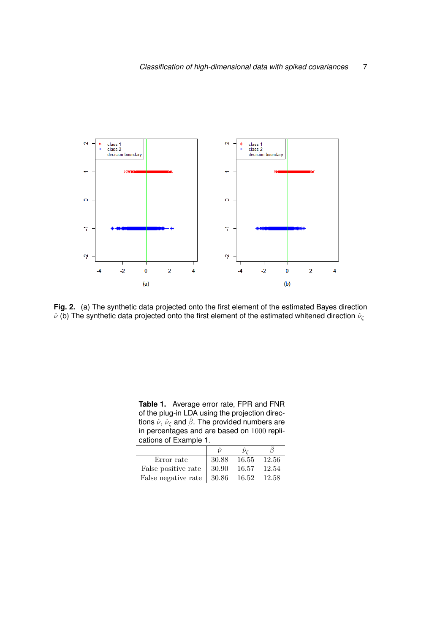

<span id="page-6-0"></span>**Fig. 2.** (a) The synthetic data projected onto the first element of the estimated Bayes direction  $\hat{\nu}$  (b) The synthetic data projected onto the first element of the estimated whitened direction  $\hat{\nu}_{\zeta}$ 

<span id="page-6-1"></span>**Table 1.** Average error rate, FPR and FNR of the plug-in LDA using the projection directions  $\hat{\nu}$ ,  $\hat{\nu}_{\zeta}$  and  $\hat{\beta}$ . The provided numbers are in percentages and are based on 1000 replications of Example 1.

| Error rate                                    | 30.88 | 16.55 | 12.56 |
|-----------------------------------------------|-------|-------|-------|
| False positive rate                           | 30.90 | 16.57 | 12.54 |
| False negative rate $\vert$ 30.86 16.52 12.58 |       |       |       |

 $\overline{a}$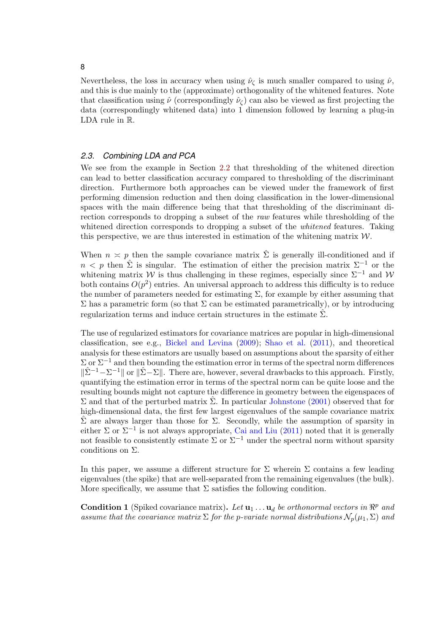Nevertheless, the loss in accuracy when using  $\hat{\nu}_\zeta$  is much smaller compared to using  $\hat{\nu}$ , and this is due mainly to the (approximate) orthogonality of the whitened features. Note that classification using  $\hat{\nu}$  (correspondingly  $\hat{\nu}_{\zeta}$ ) can also be viewed as first projecting the data (correspondingly whitened data) into 1 dimension followed by learning a plug-in LDA rule in R.

### *2.3. Combining LDA and PCA*

We see from the example in Section [2.2](#page-3-1) that thresholding of the whitened direction can lead to better classification accuracy compared to thresholding of the discriminant direction. Furthermore both approaches can be viewed under the framework of first performing dimension reduction and then doing classification in the lower-dimensional spaces with the main difference being that that thresholding of the discriminant direction corresponds to dropping a subset of the raw features while thresholding of the whitened direction corresponds to dropping a subset of the *whitened* features. Taking this perspective, we are thus interested in estimation of the whitening matrix  $W$ .

When  $n \geq p$  then the sample covariance matrix  $\hat{\Sigma}$  is generally ill-conditioned and if  $n < p$  then  $\hat{\Sigma}$  is singular. The estimation of either the precision matrix  $\Sigma^{-1}$  or the whitening matrix W is thus challenging in these regimes, especially since  $\Sigma^{-1}$  and W both contains  $O(p^2)$  entries. An universal approach to address this difficulty is to reduce the number of parameters needed for estimating  $\Sigma$ , for example by either assuming that  $\Sigma$  has a parametric form (so that  $\Sigma$  can be estimated parametrically), or by introducing regularization terms and induce certain structures in the estimate  $\Sigma$ .

The use of regularized estimators for covariance matrices are popular in high-dimensional classification, see e.g., [Bickel and Levina](#page-25-3) [\(2009\)](#page-25-3); [Shao et al.](#page-27-1) [\(2011\)](#page-27-1), and theoretical analysis for these estimators are usually based on assumptions about the sparsity of either  $\Sigma$  or  $\Sigma^{-1}$  and then bounding the estimation error in terms of the spectral norm differences  $\|\hat{\Sigma}^{-1} - \Sigma^{-1}\|$  or  $\|\hat{\Sigma} - \Sigma\|$ . There are, however, several drawbacks to this approach. Firstly, quantifying the estimation error in terms of the spectral norm can be quite loose and the resulting bounds might not capture the difference in geometry between the eigenspaces of Σ and that of the perturbed matrix  $\hat{\Sigma}$ . In particular [Johnstone](#page-26-5) [\(2001\)](#page-26-5) observed that for high-dimensional data, the first few largest eigenvalues of the sample covariance matrix  $\Sigma$  are always larger than those for Σ. Secondly, while the assumption of sparsity in either  $\Sigma$  or  $\Sigma^{-1}$  is not always appropriate, [Cai and Liu](#page-25-4) [\(2011\)](#page-25-4) noted that it is generally not feasible to consistently estimate  $\Sigma$  or  $\Sigma^{-1}$  under the spectral norm without sparsity conditions on Σ.

In this paper, we assume a different structure for  $\Sigma$  wherein  $\Sigma$  contains a few leading eigenvalues (the spike) that are well-separated from the remaining eigenvalues (the bulk). More specifically, we assume that  $\Sigma$  satisfies the following condition.

<span id="page-7-0"></span>**Condition 1** (Spiked covariance matrix). Let  $\mathbf{u}_1 \dots \mathbf{u}_d$  be orthonormal vectors in  $\mathbb{R}^p$  and assume that the covariance matrix  $\Sigma$  for the p-variate normal distributions  $\mathcal{N}_p(\mu_1, \Sigma)$  and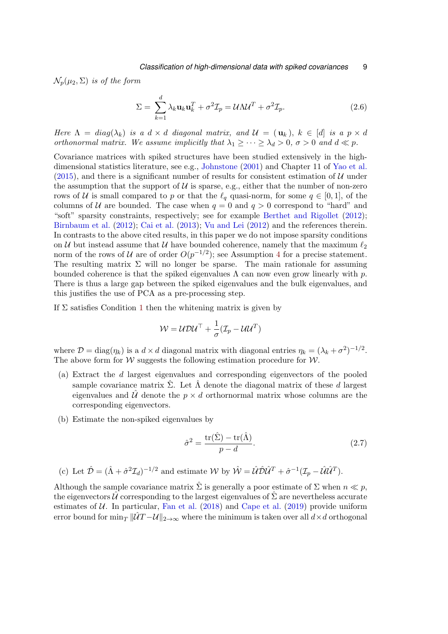$\mathcal{N}_p(\mu_2, \Sigma)$  is of the form

$$
\Sigma = \sum_{k=1}^{d} \lambda_k \mathbf{u}_k \mathbf{u}_k^T + \sigma^2 \mathcal{I}_p = \mathcal{U} \Lambda \mathcal{U}^T + \sigma^2 \mathcal{I}_p.
$$
 (2.6)

Here  $\Lambda = diag(\lambda_k)$  is a  $d \times d$  diagonal matrix, and  $\mathcal{U} = (\mathbf{u}_k)$ ,  $k \in [d]$  is a  $p \times d$ orthonormal matrix. We assume implicitly that  $\lambda_1 \geq \cdots \geq \lambda_d > 0$ ,  $\sigma > 0$  and  $d \ll p$ .

Covariance matrices with spiked structures have been studied extensively in the highdimensional statistics literature, see e.g., [Johnstone](#page-26-5) [\(2001\)](#page-26-5) and Chapter 11 of [Yao et al.](#page-27-7) [\(2015\)](#page-27-7), and there is a significant number of results for consistent estimation of  $U$  under the assumption that the support of  $U$  is sparse, e.g., either that the number of non-zero rows of U is small compared to p or that the  $\ell_q$  quasi-norm, for some  $q \in [0, 1]$ , of the columns of U are bounded. The case when  $q = 0$  and  $q > 0$  correspond to "hard" and "soft" sparsity constraints, respectively; see for example [Berthet and Rigollet](#page-24-1) [\(2012\)](#page-24-1); [Birnbaum et al.](#page-25-8) [\(2012\)](#page-25-8); [Cai et al.](#page-25-9) [\(2013\)](#page-25-9); [Vu and Lei](#page-27-8) [\(2012\)](#page-27-8) and the references therein. In contrasts to the above cited results, in this paper we do not impose sparsity conditions on U but instead assume that U have bounded coherence, namely that the maximum  $\ell_2$ norm of the rows of U are of order  $O(p^{-1/2})$ ; see Assumption [4](#page-12-0) for a precise statement. The resulting matrix  $\Sigma$  will no longer be sparse. The main rationale for assuming bounded coherence is that the spiked eigenvalues  $\Lambda$  can now even grow linearly with p. There is thus a large gap between the spiked eigenvalues and the bulk eigenvalues, and this justifies the use of PCA as a pre-processing step.

If  $\Sigma$  satisfies Condition [1](#page-7-0) then the whitening matrix is given by

$$
\mathcal{W} = \mathcal{U} \mathcal{D} \mathcal{U}^{\top} + \frac{1}{\sigma} (\mathcal{I}_p - \mathcal{U} \mathcal{U}^T)
$$

where  $\mathcal{D} = \text{diag}(\eta_k)$  is a  $d \times d$  diagonal matrix with diagonal entries  $\eta_k = (\lambda_k + \sigma^2)^{-1/2}$ . The above form for  $W$  suggests the following estimation procedure for  $W$ .

- (a) Extract the d largest eigenvalues and corresponding eigenvectors of the pooled sample covariance matrix  $\hat{\Sigma}$ . Let  $\hat{\Lambda}$  denote the diagonal matrix of these d largest eigenvalues and  $\hat{U}$  denote the  $p \times d$  orthornormal matrix whose columns are the corresponding eigenvectors.
- (b) Estimate the non-spiked eigenvalues by

<span id="page-8-0"></span>
$$
\hat{\sigma}^2 = \frac{\text{tr}(\hat{\Sigma}) - \text{tr}(\hat{\Lambda})}{p - d}.
$$
\n(2.7)

(c) Let  $\hat{\mathcal{D}} = (\hat{\Lambda} + \hat{\sigma}^2 \mathcal{I}_d)^{-1/2}$  and estimate W by  $\hat{\mathcal{W}} = \hat{\mathcal{U}} \hat{\mathcal{D}} \hat{\mathcal{U}}^T + \hat{\sigma}^{-1} (\mathcal{I}_p - \hat{\mathcal{U}} \hat{\mathcal{U}}^T)$ .

Although the sample covariance matrix  $\hat{\Sigma}$  is generally a poor estimate of  $\Sigma$  when  $n \ll p$ , the eigenvectors  $U$  corresponding to the largest eigenvalues of  $\Sigma$  are nevertheless accurate estimates of  $U$ . In particular, [Fan et al.](#page-26-6) [\(2018\)](#page-26-6) and [Cape et al.](#page-25-10) [\(2019\)](#page-25-10) provide uniform error bound for  $\min_T ||\hat{U}T - \mathcal{U}||_{2\to\infty}$  where the minimum is taken over all  $d \times d$  orthogonal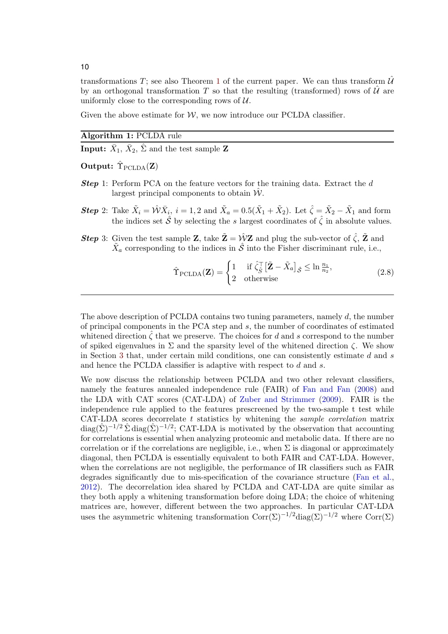transformations T; see also Theorem [1](#page-12-1) of the current paper. We can thus transform  $\hat{\mathcal{U}}$ by an orthogonal transformation T so that the resulting (transformed) rows of  $\hat{U}$  are uniformly close to the corresponding rows of  $\mathcal{U}$ .

Given the above estimate for  $W$ , we now introduce our PCLDA classifier.

Algorithm 1: PCLDA rule

**Input:**  $\bar{X}_1$ ,  $\bar{X}_2$ ,  $\hat{\Sigma}$  and the test sample **Z** 

Output:  $\hat{\Upsilon}_{\text{PCLDA}}(\mathbf{Z})$ 

- **Step 1:** Perform PCA on the feature vectors for the training data. Extract the d largest principal components to obtain  $W$ .
- **Step** 2: Take  $\tilde{X}_i = \hat{\mathcal{W}} \bar{X}_i$ ,  $i = 1, 2$  and  $\tilde{X}_a = 0.5(\tilde{X}_1 + \tilde{X}_2)$ . Let  $\hat{\zeta} = \tilde{X}_2 \tilde{X}_1$  and form the indices set  $\hat{\mathcal{S}}$  by selecting the s largest coordinates of  $\hat{\zeta}$  in absolute values.
- **Step** 3: Given the test sample **Z**, take  $\tilde{\mathbf{Z}} = \hat{\mathcal{W}} \mathbf{Z}$  and plug the sub-vector of  $\hat{\zeta}$ ,  $\tilde{\mathbf{Z}}$  and  $\tilde{X}_a$  corresponding to the indices in  $\hat{\mathcal{S}}$  into the Fisher discriminant rule, i.e.,

<span id="page-9-0"></span>
$$
\hat{\Upsilon}_{\text{PCLDA}}(\mathbf{Z}) = \begin{cases} 1 & \text{if } \hat{\zeta}_{\hat{S}}^{\top} \left[ \tilde{\mathbf{Z}} - \tilde{X}_a \right]_{\hat{\mathcal{S}}} \leq \ln \frac{n_1}{n_2}, \\ 2 & \text{otherwise} \end{cases} \tag{2.8}
$$

The above description of PCLDA contains two tuning parameters, namely  $d$ , the number of principal components in the PCA step and s, the number of coordinates of estimated whitened direction  $\zeta$  that we preserve. The choices for d and s correspond to the number of spiked eigenvalues in  $\Sigma$  and the sparsity level of the whitened direction  $\zeta$ . We show in Section [3](#page-11-0) that, under certain mild conditions, one can consistently estimate d and s and hence the PCLDA classifier is adaptive with respect to d and s.

We now discuss the relationship between PCLDA and two other relevant classifiers, namely the features annealed independence rule (FAIR) of [Fan and Fan](#page-25-1) [\(2008\)](#page-25-1) and the LDA with CAT scores (CAT-LDA) of [Zuber and Strimmer](#page-27-9) [\(2009\)](#page-27-9). FAIR is the independence rule applied to the features prescreened by the two-sample t test while CAT-LDA scores decorrelate  $t$  statistics by whitening the *sample correlation* matrix  $\text{diag}(\hat{\Sigma})^{-1/2} \hat{\Sigma} \text{diag}(\hat{\Sigma})^{-1/2}$ ; CAT-LDA is motivated by the observation that accounting for correlations is essential when analyzing proteomic and metabolic data. If there are no correlation or if the correlations are negligible, i.e., when  $\Sigma$  is diagonal or approximately diagonal, then PCLDA is essentially equivalent to both FAIR and CAT-LDA. However, when the correlations are not negligible, the performance of IR classifiers such as FAIR degrades significantly due to mis-specification of the covariance structure [\(Fan et al.,](#page-25-2) [2012\)](#page-25-2). The decorrelation idea shared by PCLDA and CAT-LDA are quite similar as they both apply a whitening transformation before doing LDA; the choice of whitening matrices are, however, different between the two approaches. In particular CAT-LDA uses the asymmetric whitening transformation  $Corr(\Sigma)^{-1/2}$  diag $(\Sigma)^{-1/2}$  where  $Corr(\Sigma)$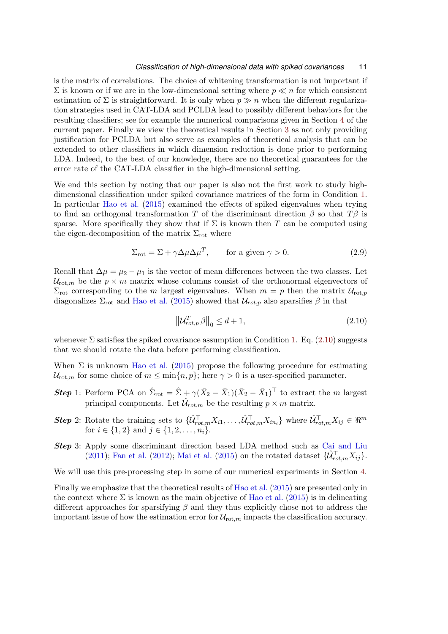is the matrix of correlations. The choice of whitening transformation is not important if  $\Sigma$  is known or if we are in the low-dimensional setting where  $p \ll n$  for which consistent estimation of  $\Sigma$  is straightforward. It is only when  $p \gg n$  when the different regularization strategies used in CAT-LDA and PCLDA lead to possibly different behaviors for the resulting classifiers; see for example the numerical comparisons given in Section [4](#page-14-0) of the current paper. Finally we view the theoretical results in Section [3](#page-11-0) as not only providing justification for PCLDA but also serve as examples of theoretical analysis that can be extended to other classifiers in which dimension reduction is done prior to performing LDA. Indeed, to the best of our knowledge, there are no theoretical guarantees for the error rate of the CAT-LDA classifier in the high-dimensional setting.

We end this section by noting that our paper is also not the first work to study highdimensional classification under spiked covariance matrices of the form in Condition [1.](#page-7-0) In particular [Hao et al.](#page-26-7) [\(2015\)](#page-26-7) examined the effects of spiked eigenvalues when trying to find an orthogonal transformation T of the discriminant direction  $\beta$  so that  $T\beta$  is sparse. More specifically they show that if  $\Sigma$  is known then T can be computed using the eigen-decomposition of the matrix  $\Sigma_{\rm rot}$  where

$$
\Sigma_{\rm rot} = \Sigma + \gamma \Delta \mu \Delta \mu^T, \qquad \text{for a given } \gamma > 0. \tag{2.9}
$$

Recall that  $\Delta \mu = \mu_2 - \mu_1$  is the vector of mean differences between the two classes. Let  $U_{\text{rot},m}$  be the  $p \times m$  matrix whose columns consist of the orthonormal eigenvectors of  $\Sigma_{\rm rot}$  corresponding to the m largest eigenvalues. When  $m = p$  then the matrix  $\mathcal{U}_{\rm rot, p}$ diagonalizes  $\Sigma_{\rm rot}$  and [Hao et al.](#page-26-7) [\(2015\)](#page-26-7) showed that  $\mathcal{U}_{rot,p}$  also sparsifies  $\beta$  in that

<span id="page-10-1"></span><span id="page-10-0"></span>
$$
\left\| \mathcal{U}_{rot,p}^T \beta \right\|_0 \le d + 1,\tag{2.10}
$$

whenever  $\Sigma$  satisfies the spiked covariance assumption in Condition [1.](#page-7-0) Eq. [\(2.10\)](#page-10-0) suggests that we should rotate the data before performing classification.

When  $\Sigma$  is unknown [Hao et al.](#page-26-7) [\(2015\)](#page-26-7) propose the following procedure for estimating  $U_{\text{rot},m}$  for some choice of  $m \leq \min\{n,p\}$ ; here  $\gamma > 0$  is a user-specified parameter.

- **Step** 1: Perform PCA on  $\hat{\Sigma}_{\text{rot}} = \hat{\Sigma} + \gamma (\bar{X}_2 \bar{X}_1)(\bar{X}_2 \bar{X}_1)^{\top}$  to extract the m largest principal components. Let  $\hat{\mathcal{U}}_{rot,m}$  be the resulting  $p \times m$  matrix.
- **Step 2:** Rotate the training sets to  $\{\hat{\mathcal{U}}_{rot,m}^{\top}X_{i1},\ldots,\hat{\mathcal{U}}_{rot,m}^{\top}X_{in_i}\}\$  where  $\hat{\mathcal{U}}_{rot,m}^{\top}X_{ij}\in\mathbb{R}^m$ for  $i \in \{1, 2\}$  and  $j \in \{1, 2, \ldots, n_i\}.$
- Step 3: Apply some discriminant direction based LDA method such as [Cai and Liu](#page-25-4) [\(2011\)](#page-25-4); [Fan et al.](#page-25-2) [\(2012\)](#page-25-2); [Mai et al.](#page-26-8) [\(2015\)](#page-26-8) on the rotated dataset  $\{\hat{\mathcal{U}}_{rot,m}^{\top}X_{ij}\}.$

We will use this pre-processing step in some of our numerical experiments in Section [4.](#page-14-0)

Finally we emphasize that the theoretical results of [Hao et al.](#page-26-7) [\(2015\)](#page-26-7) are presented only in the context where  $\Sigma$  is known as the main objective of [Hao et al.](#page-26-7) [\(2015\)](#page-26-7) is in delineating different approaches for sparsifying  $\beta$  and they thus explicitly chose not to address the important issue of how the estimation error for  $\mathcal{U}_{\text{rot},m}$  impacts the classification accuracy.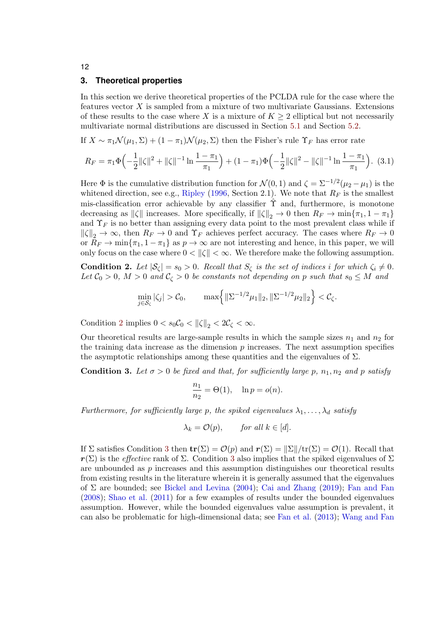## <span id="page-11-0"></span>**3. Theoretical properties**

In this section we derive theoretical properties of the PCLDA rule for the case where the features vector  $X$  is sampled from a mixture of two multivariate Gaussians. Extensions of these results to the case where X is a mixture of  $K \geq 2$  elliptical but not necessarily multivariate normal distributions are discussed in Section [5.1](#page-20-0) and Section [5.2.](#page-21-0)

If  $X \sim \pi_1 \mathcal{N}(\mu_1, \Sigma) + (1 - \pi_1) \mathcal{N}(\mu_2, \Sigma)$  then the Fisher's rule  $\Upsilon_F$  has error rate

<span id="page-11-3"></span>
$$
R_F = \pi_1 \Phi\left(-\frac{1}{2} \|\zeta\|^2 + \|\zeta\|^{-1} \ln \frac{1 - \pi_1}{\pi_1}\right) + (1 - \pi_1) \Phi\left(-\frac{1}{2} \|\zeta\|^2 - \|\zeta\|^{-1} \ln \frac{1 - \pi_1}{\pi_1}\right). (3.1)
$$

Here  $\Phi$  is the cumulative distribution function for  $\mathcal{N}(0,1)$  and  $\zeta = \Sigma^{-1/2}(\mu_2 - \mu_1)$  is the whitened direction, see e.g., [Ripley](#page-27-10) [\(1996,](#page-27-10) Section 2.1). We note that  $R_F$  is the smallest mis-classification error achievable by any classifier  $\hat{\Upsilon}$  and, furthermore, is monotone decreasing as  $\|\zeta\|$  increases. More specifically, if  $\|\zeta\|_2 \to 0$  then  $R_F \to \min\{\pi_1, 1 - \pi_1\}$ and  $\Upsilon_F$  is no better than assigning every data point to the most prevalent class while if  $\|\zeta\|_2 \to \infty$ , then  $R_F \to 0$  and  $\Upsilon_F$  achieves perfect accuracy. The cases where  $R_F \to 0$ or  $R_F \to \min\{\pi_1, 1 - \pi_1\}$  as  $p \to \infty$  are not interesting and hence, in this paper, we will only focus on the case where  $0 < ||\zeta|| < \infty$ . We therefore make the following assumption.

<span id="page-11-1"></span>**Condition 2.** Let  $|\mathcal{S}_{\zeta}| = s_0 > 0$ . Recall that  $S_{\zeta}$  is the set of indices i for which  $\zeta_i \neq 0$ . Let  $\mathcal{C}_0 > 0$ ,  $M > 0$  and  $\mathcal{C}_\zeta > 0$  be constants not depending on p such that  $s_0 \leq M$  and

$$
\min_{j \in S_{\zeta}} |\zeta_j| > C_0, \qquad \max \left\{ \|\Sigma^{-1/2} \mu_1\|_2, \|\Sigma^{-1/2} \mu_2\|_2 \right\} < C_{\zeta}.
$$

Condition [2](#page-11-1) implies  $0 < s_0 \mathcal{C}_0 < ||\zeta||_2 < 2\mathcal{C}_\zeta < \infty$ .

Our theoretical results are large-sample results in which the sample sizes  $n_1$  and  $n_2$  for the training data increase as the dimension  $p$  increases. The next assumption specifies the asymptotic relationships among these quantities and the eigenvalues of  $\Sigma$ .

<span id="page-11-2"></span>**Condition 3.** Let  $\sigma > 0$  be fixed and that, for sufficiently large p,  $n_1, n_2$  and p satisfy

$$
\frac{n_1}{n_2} = \Theta(1), \quad \ln p = o(n).
$$

Furthermore, for sufficiently large p, the spiked eigenvalues  $\lambda_1, \ldots, \lambda_d$  satisfy

$$
\lambda_k = \mathcal{O}(p), \qquad \text{for all } k \in [d].
$$

If  $\Sigma$  satisfies Condition [3](#page-11-2) then  $\mathbf{tr}(\Sigma) = \mathcal{O}(p)$  and  $\mathbf{r}(\Sigma) = ||\Sigma||/\text{tr}(\Sigma) = \mathcal{O}(1)$ . Recall that  $r(\Sigma)$  is the *effective* rank of  $\Sigma$ . Condition [3](#page-11-2) also implies that the spiked eigenvalues of  $\Sigma$ are unbounded as p increases and this assumption distinguishes our theoretical results from existing results in the literature wherein it is generally assumed that the eigenvalues of  $\Sigma$  are bounded; see [Bickel and Levina](#page-25-0) [\(2004\)](#page-25-0); [Cai and Zhang](#page-25-5) [\(2019\)](#page-25-5); [Fan and Fan](#page-25-1) [\(2008\)](#page-25-1); [Shao et al.](#page-27-1) [\(2011\)](#page-27-1) for a few examples of results under the bounded eigenvalues assumption. However, while the bounded eigenvalues value assumption is prevalent, it can also be problematic for high-dimensional data; see [Fan et al.](#page-25-11) [\(2013\)](#page-25-11); [Wang and Fan](#page-27-5)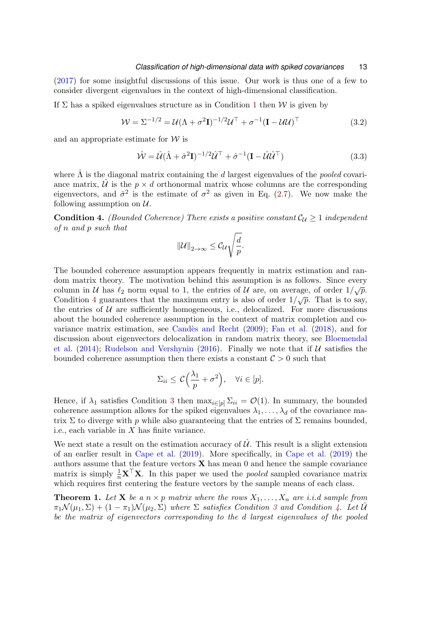[\(2017\)](#page-27-5) for some insightful discussions of this issue. Our work is thus one of a few to consider divergent eigenvalues in the context of high-dimensional classification.

If  $\Sigma$  has a spiked eigenvalues structure as in Condition [1](#page-7-0) then W is given by

<span id="page-12-2"></span>
$$
\mathcal{W} = \Sigma^{-1/2} = \mathcal{U}(\Lambda + \sigma^2 \mathbf{I})^{-1/2} \mathcal{U}^\top + \sigma^{-1} (\mathbf{I} - \mathcal{U}\mathcal{U})^\top
$$
(3.2)

and an appropriate estimate for  $W$  is

<span id="page-12-3"></span>
$$
\hat{\mathcal{W}} = \hat{\mathcal{U}} (\hat{\Lambda} + \hat{\sigma}^2 \mathbf{I})^{-1/2} \hat{\mathcal{U}}^\top + \hat{\sigma}^{-1} (\mathbf{I} - \hat{\mathcal{U}} \hat{\mathcal{U}}^\top) \tag{3.3}
$$

where  $\hat{\Lambda}$  is the diagonal matrix containing the d largest eigenvalues of the *pooled* covariance matrix,  $\hat{U}$  is the  $p \times d$  orthonormal matrix whose columns are the corresponding eigenvectors, and  $\hat{\sigma}^2$  is the estimate of  $\sigma^2$  as given in Eq. [\(2.7\)](#page-8-0). We now make the following assumption on  $\mathcal{U}$ .

<span id="page-12-0"></span>**Condition 4.** (Bounded Coherence) There exists a positive constant  $C_{\mathcal{U}} \geq 1$  independent of n and p such that

$$
\|\mathcal{U}\|_{2\to\infty}\leq \mathcal{C}_{\mathcal{U}}\sqrt{\frac{d}{p}}.
$$

The bounded coherence assumption appears frequently in matrix estimation and random matrix theory. The motivation behind this assumption is as follows. Since every column in U has  $\ell_2$  norm equal to 1, the entries of U are, on average, of order  $1/\sqrt{p}$ . Condition [4](#page-12-0) guarantees that the maximum entry is also of order  $1/\sqrt{p}$ . That is to say, the entries of  $U$  are sufficiently homogeneous, i.e., delocalized. For more discussions about the bounded coherence assumption in the context of matrix completion and covariance matrix estimation, see [Cand`es and Recht](#page-25-12) [\(2009\)](#page-25-12); [Fan et al.](#page-26-6) [\(2018\)](#page-26-6), and for discussion about eigenvectors delocalization in random matrix theory, see [Bloemendal](#page-25-13) [et al.](#page-25-13)  $(2014)$ ; [Rudelson and Vershynin](#page-27-11)  $(2016)$ . Finally we note that if U satisfies the bounded coherence assumption then there exists a constant  $C > 0$  such that

$$
\Sigma_{ii} \leq C\Big(\frac{\lambda_1}{p} + \sigma^2\Big), \quad \forall i \in [p].
$$

Hence, if  $\lambda_1$  satisfies Condition [3](#page-11-2) then  $\max_{i\in[p]} \Sigma_{ii} = \mathcal{O}(1)$ . In summary, the bounded coherence assumption allows for the spiked eigenvalues  $\lambda_1, \ldots, \lambda_d$  of the covariance matrix  $\Sigma$  to diverge with p while also guaranteeing that the entries of  $\Sigma$  remains bounded, i.e., each variable in  $X$  has finite variance.

We next state a result on the estimation accuracy of  $\hat{\mathcal{U}}$ . This result is a slight extension of an earlier result in [Cape et al.](#page-25-10) [\(2019\)](#page-25-10). More specifically, in [Cape et al.](#page-25-10) [\(2019\)](#page-25-10) the authors assume that the feature vectors  $X$  has mean 0 and hence the sample covariance matrix is simply  $\frac{1}{n}\mathbf{X}^{\top}\mathbf{X}$ . In this paper we used the *pooled* sampled covariance matrix which requires first centering the feature vectors by the sample means of each class.

<span id="page-12-1"></span>**Theorem 1.** Let **X** be a  $n \times p$  matrix where the rows  $X_1, \ldots, X_n$  are i.i.d sample from  $\pi_1 \mathcal{N}(\mu_1, \Sigma) + (1 - \pi_1) \mathcal{N}(\mu_2, \Sigma)$  where  $\Sigma$  satisfies Condition [3](#page-11-2) and Condition [4.](#page-12-0) Let  $\mathcal{U}$ be the matrix of eigenvectors corresponding to the d largest eigenvalues of the pooled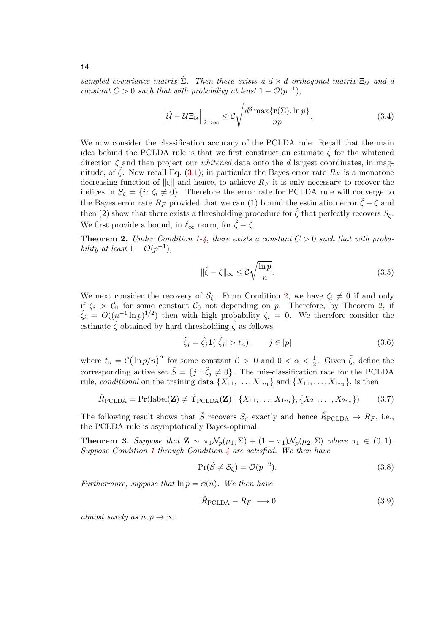sampled covariance matrix  $\hat{\Sigma}$ . Then there exists a  $d \times d$  orthogonal matrix  $\Xi_{\mathcal{U}}$  and a constant  $C > 0$  such that with probability at least  $1 - \mathcal{O}(p^{-1}),$ 

<span id="page-13-2"></span>
$$
\left\|\hat{\mathcal{U}} - \mathcal{U}\Xi_{\mathcal{U}}\right\|_{2\to\infty} \leq \mathcal{C}\sqrt{\frac{d^3 \max\{\mathbf{r}(\Sigma), \ln p\}}{np}}.\tag{3.4}
$$

We now consider the classification accuracy of the PCLDA rule. Recall that the main idea behind the PCLDA rule is that we first construct an estimate  $\zeta$  for the whitened direction  $\zeta$  and then project our *whitened* data onto the d largest coordinates, in magnitude, of  $\zeta$ . Now recall Eq. [\(3.1\)](#page-11-3); in particular the Bayes error rate  $R_F$  is a monotone decreasing function of  $\|\zeta\|$  and hence, to achieve  $R_F$  it is only necessary to recover the indices in  $S_{\zeta} = \{i: \zeta_i \neq 0\}$ . Therefore the error rate for PCLDA rule will converge to the Bayes error rate  $R_F$  provided that we can (1) bound the estimation error  $\hat{\zeta} - \zeta$  and then (2) show that there exists a thresholding procedure for  $\hat{\zeta}$  that perfectly recovers  $S_{\zeta}$ . We first provide a bound, in  $\ell_{\infty}$  norm, for  $\hat{\zeta} - \zeta$ .

<span id="page-13-0"></span>**Theorem 2.** Under Condition [1-](#page-7-0)[4,](#page-12-0) there exists a constant  $C > 0$  such that with probability at least  $1 - \mathcal{O}(p^{-1}),$ 

<span id="page-13-3"></span>
$$
\|\hat{\zeta} - \zeta\|_{\infty} \leq \mathcal{C} \sqrt{\frac{\ln p}{n}}.\tag{3.5}
$$

We next consider the recovery of  $\mathcal{S}_{\zeta}$ . From Condition [2,](#page-11-1) we have  $\zeta_i \neq 0$  if and only if  $\zeta_i > C_0$  for some constant  $C_0$  not depending on p. Therefore, by Theorem [2,](#page-13-0) if  $\hat{\zeta}_i = O((n^{-1} \ln p)^{1/2})$  then with high probability  $\zeta_i = 0$ . We therefore consider the estimate  $\zeta$  obtained by hard thresholding  $\hat{\zeta}$  as follows

$$
\tilde{\zeta}_j = \hat{\zeta}_j \mathbf{1}(|\hat{\zeta}_j| > t_n), \qquad j \in [p] \tag{3.6}
$$

where  $t_n = C(\ln p/n)^{\alpha}$  for some constant  $C > 0$  and  $0 < \alpha < \frac{1}{2}$ . Given  $\tilde{\zeta}$ , define the corresponding active set  $\tilde{S} = \{j : \tilde{\zeta}_j \neq 0\}$ . The mis-classification rate for the PCLDA rule, conditional on the training data  $\{X_{11}, \ldots, X_{1n_1}\}\$  and  $\{X_{11}, \ldots, X_{1n_1}\}\$ , is then

$$
\hat{R}_{\text{PCLDA}} = \Pr(\text{label}(\mathbf{Z}) \neq \hat{\Upsilon}_{\text{PCLDA}}(\mathbf{Z}) \mid \{X_{11}, \dots, X_{1n_1}\}, \{X_{21}, \dots, X_{2n_2}\}) \tag{3.7}
$$

The following result shows that  $\tilde{S}$  recovers  $S_{\zeta}$  exactly and hence  $\hat{R}_{\text{PCLDA}} \to R_F$ , i.e., the PCLDA rule is asymptotically Bayes-optimal.

<span id="page-13-1"></span>**Theorem 3.** Suppose that  $\mathbf{Z} \sim \pi_1 \mathcal{N}_p(\mu_1, \Sigma) + (1 - \pi_1) \mathcal{N}_p(\mu_2, \Sigma)$  where  $\pi_1 \in (0, 1)$ . Suppose Condition [1](#page-7-0) through Condition  $\frac{1}{4}$  $\frac{1}{4}$  $\frac{1}{4}$  are satisfied. We then have

$$
\Pr(\tilde{S} \neq \mathcal{S}_{\zeta}) = \mathcal{O}(p^{-2}).\tag{3.8}
$$

Furthermore, suppose that  $\ln p = \mathcal{O}(n)$ . We then have

$$
|\hat{R}_{\text{PCLDA}} - R_F| \longrightarrow 0 \tag{3.9}
$$

almost surely as  $n, p \rightarrow \infty$ .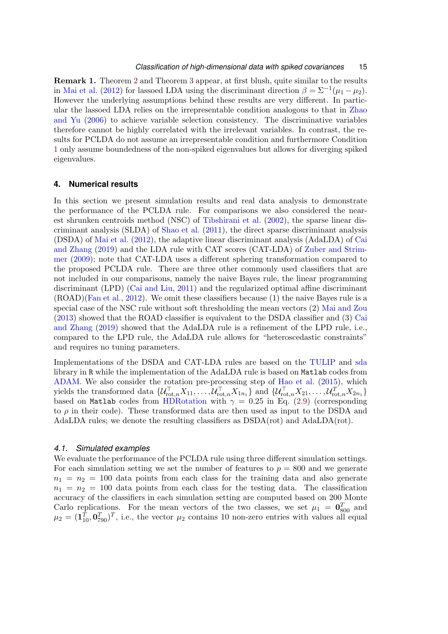Remark 1. Theorem [2](#page-13-0) and Theorem [3](#page-13-1) appear, at first blush, quite similar to the results in [Mai et al.](#page-26-0) [\(2012\)](#page-26-0) for lassoed LDA using the discriminant direction  $\beta = \sum^{-1} (\mu_1 - \mu_2)$ . However the underlying assumptions behind these results are very different. In particular the lassoed LDA relies on the irrepresentable condition analogous to that in [Zhao](#page-27-12) [and Yu](#page-27-12) [\(2006\)](#page-27-12) to achieve variable selection consistency. The discriminative variables therefore cannot be highly correlated with the irrelevant variables. In contrast, the results for PCLDA do not assume an irrepresentable condition and furthermore Condition [1](#page-7-0) only assume boundedness of the non-spiked eigenvalues but allows for diverging spiked eigenvalues.

### <span id="page-14-0"></span>**4. Numerical results**

In this section we present simulation results and real data analysis to demonstrate the performance of the PCLDA rule. For comparisons we also considered the nearest shrunken centroids method (NSC) of [Tibshirani et al.](#page-27-0) [\(2002\)](#page-27-0), the sparse linear discriminant analysis (SLDA) of [Shao et al.](#page-27-1) [\(2011\)](#page-27-1), the direct sparse discriminant analysis (DSDA) of [Mai et al.](#page-26-0) [\(2012\)](#page-26-0), the adaptive linear discriminant analysis (AdaLDA) of [Cai](#page-25-5) [and Zhang](#page-25-5) [\(2019\)](#page-25-5) and the LDA rule with CAT scores (CAT-LDA) of [Zuber and Strim](#page-27-9)[mer](#page-27-9) [\(2009\)](#page-27-9); note that CAT-LDA uses a different sphering transformation compared to the proposed PCLDA rule. There are three other commonly used classifiers that are not included in our comparisons, namely the naive Bayes rule, the linear programming discriminant (LPD) [\(Cai and Liu,](#page-25-4) [2011\)](#page-25-4) and the regularized optimal affine discriminant (ROAD)[\(Fan et al.,](#page-25-2) [2012\)](#page-25-2). We omit these classifiers because (1) the naive Bayes rule is a special case of the NSC rule without soft thresholding the mean vectors (2) [Mai and Zou](#page-26-9) [\(2013\)](#page-26-9) showed that the ROAD classifier is equivalent to the DSDA classifier and (3) [Cai](#page-25-5) [and Zhang](#page-25-5) [\(2019\)](#page-25-5) showed that the AdaLDA rule is a refinement of the LPD rule, i.e., compared to the LPD rule, the AdaLDA rule allows for "heteroscedastic constraints" and requires no tuning parameters.

Implementations of the DSDA and CAT-LDA rules are based on the [TULIP](https://cran.r-project.org/web/packages/TULIP/index.html) and [sda](https://cran.r-project.org/web/packages/sda/) library in R while the implementation of the AdaLDA rule is based on Matlab codes from [ADAM.](https://github.com/linjunz/ADAM) We also consider the rotation pre-processing step of [Hao et al.](#page-26-7) [\(2015\)](#page-26-7), which yields the transformed data  $\{U_{\text{rot},n}^{\top}X_{11},\ldots,U_{\text{rot},n}^{\top}X_{1n_1}\}$  and  $\{U_{\text{rot},n}^{\top}X_{21},\ldots,U_{\text{rot},n}^{\top}X_{2n_1}\}$ based on Matlab codes from [HDRotation](http://bicmr.pku.edu.cn/~dongbin/Publications.html) with  $\gamma = 0.25$  in Eq. [\(2.9\)](#page-10-1) (corresponding to  $\rho$  in their code). These transformed data are then used as input to the DSDA and AdaLDA rules; we denote the resulting classifiers as DSDA(rot) and AdaLDA(rot).

### *4.1. Simulated examples*

We evaluate the performance of the PCLDA rule using three different simulation settings. For each simulation setting we set the number of features to  $p = 800$  and we generate  $n_1 = n_2 = 100$  data points from each class for the training data and also generate  $n_1 = n_2 = 100$  data points from each class for the testing data. The classification accuracy of the classifiers in each simulation setting are computed based on 200 Monte Carlo replications. For the mean vectors of the two classes, we set  $\mu_1 = \mathbf{0}_{800}^T$  and  $\mu_2 = (\mathbf{1}_{10}^T, \mathbf{0}_{790}^T)^T$ , i.e., the vector  $\mu_2$  contains 10 non-zero entries with values all equal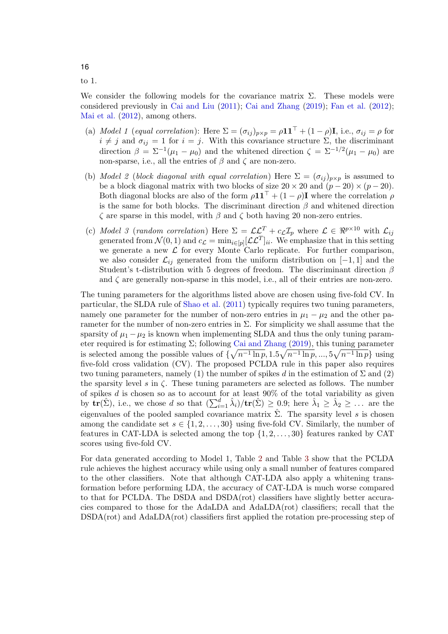to 1.

We consider the following models for the covariance matrix  $\Sigma$ . These models were considered previously in [Cai and Liu](#page-25-4) [\(2011\)](#page-25-4); [Cai and Zhang](#page-25-5) [\(2019\)](#page-25-5); [Fan et al.](#page-25-2) [\(2012\)](#page-25-2); [Mai et al.](#page-26-0) [\(2012\)](#page-26-0), among others.

- (a) Model 1 (equal correlation): Here  $\Sigma = (\sigma_{ij})_{p \times p} = \rho \mathbf{1} \mathbf{1}^{\top} + (1 \rho) \mathbf{I}$ , i.e.,  $\sigma_{ij} = \rho$  for  $i \neq j$  and  $\sigma_{ij} = 1$  for  $i = j$ . With this covariance structure  $\Sigma$ , the discriminant direction  $\beta = \sum^{-1} (\mu_1 - \mu_0)$  and the whitened direction  $\zeta = \sum^{-1/2} (\mu_1 - \mu_0)$  are non-sparse, i.e., all the entries of  $\beta$  and  $\zeta$  are non-zero.
- (b) Model 2 (block diagonal with equal correlation) Here  $\Sigma = (\sigma_{ij})_{p \times p}$  is assumed to be a block diagonal matrix with two blocks of size  $20 \times 20$  and  $(p-20) \times (p-20)$ . Both diagonal blocks are also of the form  $\rho \mathbf{1} \mathbf{1}^{\top} + (1 - \rho) \mathbf{I}$  where the correlation  $\rho$ is the same for both blocks. The discriminant direction  $\beta$  and whitened direction ζ are sparse in this model, with β and ζ both having 20 non-zero entries.
- (c) Model 3 (random correlation) Here  $\Sigma = \mathcal{L}\mathcal{L}^T + c_{\mathcal{L}}\mathcal{I}_p$  where  $\mathcal{L} \in \mathbb{R}^{p \times 10}$  with  $\mathcal{L}_{ij}$ generated from  $\mathcal{N}(0,1)$  and  $c_{\mathcal{L}} = \min_{i \in [p]} [\mathcal{L} \mathcal{L}^T]_{ii}$ . We emphasize that in this setting we generate a new  $\mathcal L$  for every Monte Carlo replicate. For further comparison, we also consider  $\mathcal{L}_{ij}$  generated from the uniform distribution on [−1, 1] and the Student's t-distribution with 5 degrees of freedom. The discriminant direction  $\beta$ and  $\zeta$  are generally non-sparse in this model, i.e., all of their entries are non-zero.

The tuning parameters for the algorithms listed above are chosen using five-fold CV. In particular, the SLDA rule of [Shao et al.](#page-27-1) [\(2011\)](#page-27-1) typically requires two tuning parameters, namely one parameter for the number of non-zero entries in  $\mu_1 - \mu_2$  and the other parameter for the number of non-zero entries in  $\Sigma$ . For simplicity we shall assume that the sparsity of  $\mu_1 - \mu_2$  is known when implementing SLDA and thus the only tuning parameter required is for estimating  $\Sigma$ ; following [Cai and Zhang](#page-25-5) [\(2019\)](#page-25-5), this tuning parameter is selected among the possible values of  $\{\sqrt{n^{-1}\ln p}, 1.5\sqrt{n^{-1}\ln p}, ..., 5\sqrt{n^{-1}\ln p}\}\$  using five-fold cross validation (CV). The proposed PCLDA rule in this paper also requires two tuning parameters, namely (1) the number of spikes d in the estimation of  $\Sigma$  and (2) the sparsity level s in  $\zeta$ . These tuning parameters are selected as follows. The number of spikes  $d$  is chosen so as to account for at least 90% of the total variability as given by  $\mathbf{tr}(\hat{\Sigma})$ , i.e., we chose d so that  $(\sum_{i=1}^d \hat{\lambda}_i)/\mathbf{tr}(\hat{\Sigma}) \geq 0.9$ ; here  $\hat{\lambda}_1 \geq \hat{\lambda}_2 \geq \ldots$  are the eigenvalues of the pooled sampled covariance matrix  $\hat{\Sigma}$ . The sparsity level s is chosen among the candidate set  $s \in \{1, 2, ..., 30\}$  using five-fold CV. Similarly, the number of features in CAT-LDA is selected among the top  $\{1, 2, \ldots, 30\}$  features ranked by CAT scores using five-fold CV.

For data generated according to Model 1, Table [2](#page-16-0) and Table [3](#page-16-1) show that the PCLDA rule achieves the highest accuracy while using only a small number of features compared to the other classifiers. Note that although CAT-LDA also apply a whitening transformation before performing LDA, the accuracy of CAT-LDA is much worse compared to that for PCLDA. The DSDA and DSDA(rot) classifiers have slightly better accuracies compared to those for the AdaLDA and AdaLDA(rot) classifiers; recall that the DSDA(rot) and AdaLDA(rot) classifiers first applied the rotation pre-processing step of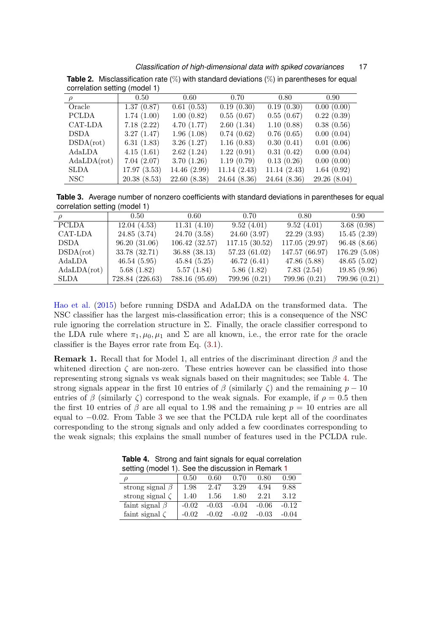*Classification of high-dimensional data with spiked covariances* 17

| $\rho$       | 0.50        | 0.60         | 0.70         | 0.80        | 0.90 <sub>1</sub> |  |  |
|--------------|-------------|--------------|--------------|-------------|-------------------|--|--|
| Oracle       | 1.37(0.87)  | 0.61(0.53)   | 0.19(0.30)   | 0.19(0.30)  | 0.00(0.00)        |  |  |
| <b>PCLDA</b> | 1.74(1.00)  | 1.00(0.82)   | 0.55(0.67)   | 0.55(0.67)  | 0.22(0.39)        |  |  |
| CAT-LDA      | 7.18(2.22)  | 4.70(1.77)   | 2.60(1.34)   | 1.10(0.88)  | 0.38(0.56)        |  |  |
| <b>DSDA</b>  | 3.27(1.47)  | 1.96(1.08)   | 0.74(0.62)   | 0.76(0.65)  | 0.00(0.04)        |  |  |
| DSDA(rot)    | 6.31(1.83)  | 3.26(1.27)   | 1.16(0.83)   | 0.30(0.41)  | 0.01(0.06)        |  |  |
| AdaLDA       | 4.15(1.61)  | 2.62(1.24)   | 1.22(0.91)   | 0.31(0.42)  | 0.00(0.04)        |  |  |
| AdaLDA(rot)  | 7.04(2.07)  | 3.70(1.26)   | 1.19(0.79)   | 0.13(0.26)  | 0.00(0.00)        |  |  |
| <b>SLDA</b>  | 17.97(3.53) | 14.46 (2.99) | 11.14(2.43)  | 11.14(2.43) | 1.64(0.92)        |  |  |
| NSC-         | 20.38(8.53) | 22.60(8.38)  | 24.64 (8.36) | 24.64(8.36) | 29.26(8.04)       |  |  |

<span id="page-16-0"></span>**Table 2.** Misclassification rate (%) with standard deviations (%) in parentheses for equal correlation setting (model 1)

<span id="page-16-1"></span>**Table 3.** Average number of nonzero coefficients with standard deviations in parentheses for equal correlation setting (model 1)

|              | 0.50            | 0.60           | 0.70          | 0.80           | 0.90          |
|--------------|-----------------|----------------|---------------|----------------|---------------|
| <b>PCLDA</b> | 12.04(4.53)     | 11.31(4.10)    | 9.52(4.01)    | 9.52(4.01)     | 3.68(0.98)    |
| CAT-LDA      | 24.85 (3.74)    | 24.70(3.58)    | 24.60(3.97)   | 22.29(3.93)    | 15.45(2.39)   |
| DSDA         | 96.20(31.06)    | 106.42(32.57)  | 117.15(30.52) | 117.05 (29.97) | 96.48(8.66)   |
| DSDA(rot)    | 33.78 (32.71)   | 36.88(38.13)   | 57.23(61.02)  | 147.57 (66.97) | 176.29(5.08)  |
| $\rm AdaLDA$ | 46.54(5.95)     | 45.84(5.25)    | 46.72(6.41)   | 47.86(5.88)    | 48.65(5.02)   |
| AdaLDA(rot)  | 5.68(1.82)      | 5.57(1.84)     | 5.86(1.82)    | 7.83(2.54)     | 19.85(9.96)   |
| SLDA         | 728.84 (226.63) | 788.16 (95.69) | 799.96 (0.21) | 799.96 (0.21)  | 799.96 (0.21) |

[Hao et al.](#page-26-7) [\(2015\)](#page-26-7) before running DSDA and AdaLDA on the transformed data. The NSC classifier has the largest mis-classification error; this is a consequence of the NSC rule ignoring the correlation structure in  $\Sigma$ . Finally, the oracle classifier correspond to the LDA rule where  $\pi_1, \mu_0, \mu_1$  and  $\Sigma$  are all known, i.e., the error rate for the oracle classifier is the Bayes error rate from Eq. [\(3.1\)](#page-11-3).

<span id="page-16-3"></span>**Remark 1.** Recall that for Model 1, all entries of the discriminant direction  $\beta$  and the whitened direction  $\zeta$  are non-zero. These entries however can be classified into those representing strong signals vs weak signals based on their magnitudes; see Table [4.](#page-16-2) The strong signals appear in the first 10 entries of  $\beta$  (similarly  $\zeta$ ) and the remaining  $p - 10$ entries of  $\beta$  (similarly  $\zeta$ ) correspond to the weak signals. For example, if  $\rho = 0.5$  then the first 10 entries of  $\beta$  are all equal to 1.98 and the remaining  $p = 10$  entries are all equal to −0.02. From Table [3](#page-16-1) we see that the PCLDA rule kept all of the coordinates corresponding to the strong signals and only added a few coordinates corresponding to the weak signals; this explains the small number of features used in the PCLDA rule.

| setting (model 1). See the discussion in Remark 1 |         |         |         |         |         |  |
|---------------------------------------------------|---------|---------|---------|---------|---------|--|
|                                                   | 0.50    | 0.60    | 0.70    | 0.80    | 0.90    |  |
| strong signal $\beta$                             | 1.98    | 2.47    | 3.29    | 4.94    | 9.88    |  |
| strong signal $\zeta$                             | 1.40    | 1.56    | 1.80    | 2.21    | 3.12    |  |
| faint signal $\beta$                              | $-0.02$ | $-0.03$ | $-0.04$ | $-0.06$ | $-0.12$ |  |
| faint signal $\zeta$                              | $-0.02$ | $-0.02$ | $-0.02$ | $-0.03$ | $-0.04$ |  |

<span id="page-16-2"></span>**Table 4.** Strong and faint signals for equal correlation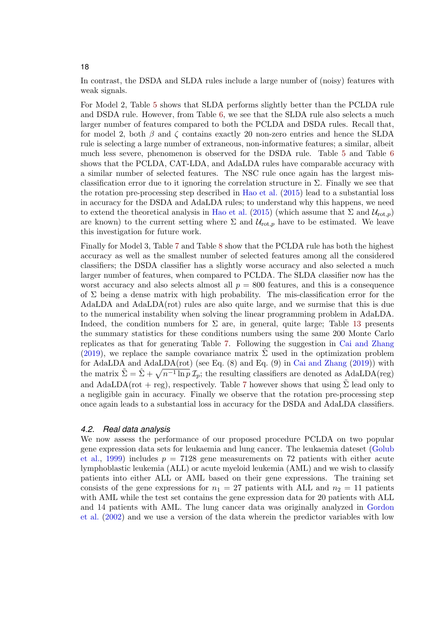In contrast, the DSDA and SLDA rules include a large number of (noisy) features with weak signals.

For Model 2, Table [5](#page-18-0) shows that SLDA performs slightly better than the PCLDA rule and DSDA rule. However, from Table [6,](#page-18-1) we see that the SLDA rule also selects a much larger number of features compared to both the PCLDA and DSDA rules. Recall that, for model 2, both  $\beta$  and  $\zeta$  contains exactly 20 non-zero entries and hence the SLDA rule is selecting a large number of extraneous, non-informative features; a similar, albeit much less severe, phenomenon is observed for the DSDA rule. Table [5](#page-18-0) and Table [6](#page-18-1) shows that the PCLDA, CAT-LDA, and AdaLDA rules have comparable accuracy with a similar number of selected features. The NSC rule once again has the largest misclassification error due to it ignoring the correlation structure in  $\Sigma$ . Finally we see that the rotation pre-processing step described in [Hao et al.](#page-26-7) [\(2015\)](#page-26-7) lead to a substantial loss in accuracy for the DSDA and AdaLDA rules; to understand why this happens, we need to extend the theoretical analysis in [Hao et al.](#page-26-7) [\(2015\)](#page-26-7) (which assume that  $\Sigma$  and  $\mathcal{U}_{\text{rot},p}$ ) are known) to the current setting where  $\Sigma$  and  $\mathcal{U}_{\text{rot},p}$  have to be estimated. We leave this investigation for future work.

Finally for Model 3, Table [7](#page-18-2) and Table [8](#page-19-0) show that the PCLDA rule has both the highest accuracy as well as the smallest number of selected features among all the considered classifiers; the DSDA classifier has a slightly worse accuracy and also selected a much larger number of features, when compared to PCLDA. The SLDA classifier now has the worst accuracy and also selects almost all  $p = 800$  features, and this is a consequence of  $\Sigma$  being a dense matrix with high probability. The mis-classification error for the AdaLDA and AdaLDA(rot) rules are also quite large, and we surmise that this is due to the numerical instability when solving the linear programming problem in AdaLDA. Indeed, the condition numbers for  $\Sigma$  are, in general, quite large; Table [13](#page-28-0) presents the summary statistics for these conditions numbers using the same 200 Monte Carlo replicates as that for generating Table [7.](#page-18-2) Following the suggestion in [Cai and Zhang](#page-25-5) [\(2019\)](#page-25-5), we replace the sample covariance matrix  $\hat{\Sigma}$  used in the optimization problem for AdaLDA and AdaLDA(rot) (see Eq. (8) and Eq. (9) in [Cai and Zhang](#page-25-5) [\(2019\)](#page-25-5)) with the matrix  $\tilde{\Sigma} = \hat{\Sigma} + \sqrt{n^{-1} \ln p} \,\mathcal{I}_p$ ; the resulting classifiers are denoted as AdaLDA(reg) and AdaLDA(rot + reg), respectively. Table [7](#page-18-2) however shows that using  $\tilde{\Sigma}$  lead only to a negligible gain in accuracy. Finally we observe that the rotation pre-processing step once again leads to a substantial loss in accuracy for the DSDA and AdaLDA classifiers.

### *4.2. Real data analysis*

We now assess the performance of our proposed procedure PCLDA on two popular gene expression data sets for leukaemia and lung cancer. The leukaemia dateset [\(Golub](#page-26-10) [et al.,](#page-26-10) [1999\)](#page-26-10) includes  $p = 7128$  gene measurements on 72 patients with either acute lymphoblastic leukemia (ALL) or acute myeloid leukemia (AML) and we wish to classify patients into either ALL or AML based on their gene expressions. The training set consists of the gene expressions for  $n_1 = 27$  patients with ALL and  $n_2 = 11$  patients with AML while the test set contains the gene expression data for 20 patients with ALL and 14 patients with AML. The lung cancer data was originally analyzed in [Gordon](#page-26-11) [et al.](#page-26-11) [\(2002\)](#page-26-11) and we use a version of the data wherein the predictor variables with low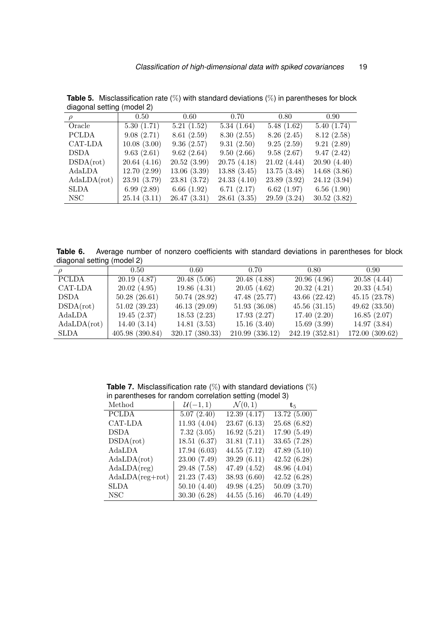| $\rho$       | 0.50        | $0.60\,$      | 0.70        | 0.80         | $0.90\,$    |
|--------------|-------------|---------------|-------------|--------------|-------------|
| Oracle       | 5.30(1.71)  | 5.21(1.52)    | 5.34(1.64)  | 5.48(1.62)   | 5.40(1.74)  |
| <b>PCLDA</b> | 9.08(2.71)  | 8.61(2.59)    | 8.30(2.55)  | 8.26(2.45)   | 8.12(2.58)  |
| CAT-LDA      | 10.08(3.00) | 9.36(2.57)    | 9.31(2.50)  | 9.25(2.59)   | 9.21(2.89)  |
| DSDA         | 9.63(2.61)  | 9.62(2.64)    | 9.50(2.66)  | 9.58(2.67)   | 9.47(2.42)  |
| DSDA(rot)    | 20.64(4.16) | 20.52(3.99)   | 20.75(4.18) | 21.02(4.44)  | 20.90(4.40) |
| $\rm AdaLDA$ | 12.70(2.99) | 13.06(3.39)   | 13.88(3.45) | 13.75(3.48)  | 14.68(3.86) |
| AdaLDA(rot)  | 23.91(3.79) | 23.81 (3.72)  | 24.33(4.10) | 23.89 (3.92) | 24.12(3.94) |
| <b>SLDA</b>  | 6.99(2.89)  | 6.66 $(1.92)$ | 6.71(2.17)  | 6.62(1.97)   | 6.56(1.90)  |
| NSC-         | 25.14(3.11) | 26.47(3.31)   | 28.61(3.35) | 29.59(3.24)  | 30.52(3.82) |

<span id="page-18-0"></span>**Table 5.** Misclassification rate (%) with standard deviations (%) in parentheses for block diagonal setting (model 2)

<span id="page-18-1"></span>**Table 6.** Average number of nonzero coefficients with standard deviations in parentheses for block diagonal setting (model 2)

|              | 0.50            | 0.60            | 0.70            | 0.80            | 0.90            |
|--------------|-----------------|-----------------|-----------------|-----------------|-----------------|
| <b>PCLDA</b> | 20.19(4.87)     | 20.48(5.06)     | 20.48(4.88)     | 20.96(4.96)     | 20.58(4.44)     |
| CAT-LDA      | 20.02(4.95)     | 19.86(4.31)     | 20.05(4.62)     | 20.32(4.21)     | 20.33(4.54)     |
| <b>DSDA</b>  | 50.28(26.61)    | 50.74(28.92)    | 47.48 (25.77)   | 43.66(22.42)    | 45.15(23.78)    |
| DSDA(rot)    | 51.02(39.23)    | 46.13(29.09)    | 51.93(36.08)    | 45.56(31.15)    | 49.62(33.50)    |
| AdaLDA       | 19.45(2.37)     | 18.53(2.23)     | 17.93(2.27)     | 17.40(2.20)     | 16.85(2.07)     |
| AdaLDA(rot)  | 14.40(3.14)     | 14.81(3.53)     | 15.16(3.40)     | 15.69(3.99)     | 14.97(3.84)     |
| <b>SLDA</b>  | 405.98 (390.84) | 320.17 (380.33) | 210.99 (336.12) | 242.19 (352.81) | 172.00 (309.62) |

<span id="page-18-2"></span>**Table 7.** Misclassification rate (%) with standard deviations (%) in parentheses for random correlation setting (model 3)

 $\overline{a}$ 

| $\mathcal{U}(-1,1)$ | $\mathcal{N}(0,1)$ | $\mathbf{t}_5$ . |
|---------------------|--------------------|------------------|
| 5.07(2.40)          | 12.39(4.17)        | 13.72(5.00)      |
| 11.93(4.04)         | 23.67(6.13)        | 25.68(6.82)      |
| 7.32(3.05)          | 16.92(5.21)        | 17.90(5.49)      |
| 18.51(6.37)         | 31.81(7.11)        | 33.65(7.28)      |
| 17.94(6.03)         | 44.55(7.12)        | 47.89(5.10)      |
| 23.00 (7.49)        | 39.29(6.11)        | 42.52(6.28)      |
| 29.48 (7.58)        | 47.49 (4.52)       | 48.96(4.04)      |
| 21.23(7.43)         | 38.93 (6.60)       | 42.52(6.28)      |
| 50.10(4.40)         | 49.98(4.25)        | 50.09(3.70)      |
| 30.30(6.28)         | 44.55(5.16)        | 46.70 (4.49)     |
|                     |                    |                  |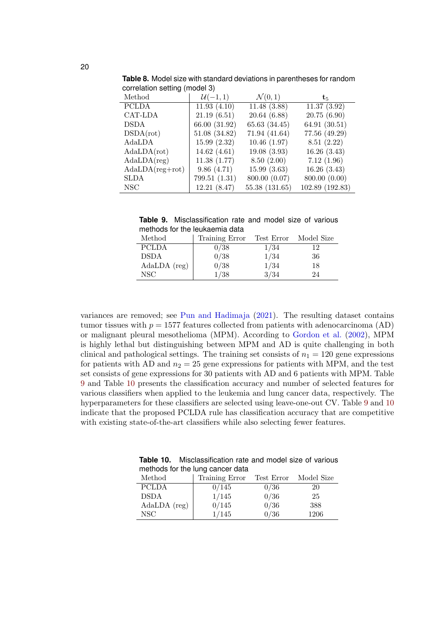| Method               | $\mathcal{U}(-1,1)$ | $\mathcal{N}(0,1)$ | $t_{5}$         |
|----------------------|---------------------|--------------------|-----------------|
| <b>PCLDA</b>         | 11.93(4.10)         | 11.48(3.88)        | 11.37(3.92)     |
| CAT-LDA              | 21.19(6.51)         | 20.64(6.88)        | 20.75(6.90)     |
| <b>DSDA</b>          | 66.00 (31.92)       | 65.63 (34.45)      | 64.91 (30.51)   |
| DSDA(rot)            | 51.08 (34.82)       | 71.94 (41.64)      | 77.56 (49.29)   |
| AdaLDA               | 15.99(2.32)         | 10.46(1.97)        | 8.51(2.22)      |
| Ad a LDA(rot)        | 14.62 $(4.61)$      | 19.08(3.93)        | 16.26(3.43)     |
| Ad a LDA (reg)       | 11.38(1.77)         | 8.50(2.00)         | 7.12(1.96)      |
| $Ad a LDA (reg+rot)$ | 9.86(4.71)          | 15.99(3.63)        | 16.26(3.43)     |
| <b>SLDA</b>          | 799.51(1.31)        | 800.00 (0.07)      | 800.00 (0.00)   |
| <b>NSC</b>           | 12.21(8.47)         | 55.38 (131.65)     | 102.89 (192.83) |

<span id="page-19-0"></span>**Table 8.** Model size with standard deviations in parentheses for random correlation setting (model 3)

<span id="page-19-1"></span>**Table 9.** Misclassification rate and model size of various methods for the leukaemia data

| Method         | Training Error | Test Error | Model Size |
|----------------|----------------|------------|------------|
| <b>PCLDA</b>   | 0/38           | 1/34       | 12         |
| <b>DSDA</b>    | 0/38           | 1/34       | 36         |
| $AdaLDA$ (reg) | 0/38           | 1/34       | 18         |
| NSC.           | 1/38           | 3/34       | 24         |

variances are removed; see [Pun and Hadimaja](#page-27-13) [\(2021\)](#page-27-13). The resulting dataset contains tumor tissues with  $p = 1577$  features collected from patients with adenocarcinoma (AD) or malignant pleural mesothelioma (MPM). According to [Gordon et al.](#page-26-11) [\(2002\)](#page-26-11), MPM is highly lethal but distinguishing between MPM and AD is quite challenging in both clinical and pathological settings. The training set consists of  $n_1 = 120$  gene expressions for patients with AD and  $n_2 = 25$  gene expressions for patients with MPM, and the test set consists of gene expressions for 30 patients with AD and 6 patients with MPM. Table [9](#page-19-1) and Table [10](#page-19-2) presents the classification accuracy and number of selected features for various classifiers when applied to the leukemia and lung cancer data, respectively. The hyperparameters for these classifiers are selected using leave-one-out CV. Table [9](#page-19-1) and [10](#page-19-2) indicate that the proposed PCLDA rule has classification accuracy that are competitive with existing state-of-the-art classifiers while also selecting fewer features.

| methods for the lung cancer data |                |            |            |  |  |  |  |
|----------------------------------|----------------|------------|------------|--|--|--|--|
| Method                           | Training Error | Test Error | Model Size |  |  |  |  |
| <b>PCLDA</b>                     | 0/145          | 0/36       | 20         |  |  |  |  |
| <b>DSDA</b>                      | 1/145          | 0/36       | 25         |  |  |  |  |
| $AdaLDA$ (reg)                   | 0/145          | 0/36       | 388        |  |  |  |  |
| NSC                              | 1/145          | 0/36       | 1206       |  |  |  |  |

<span id="page-19-2"></span>**Table 10.** Misclassification rate and model size of various methods for the lung cancer dat<br>hothods for the lung cancer dat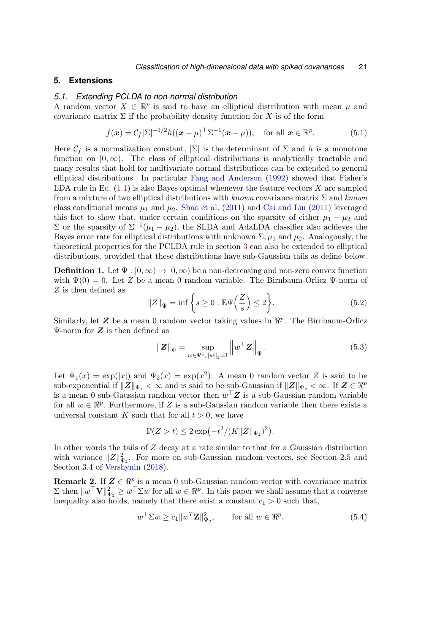## <span id="page-20-0"></span>**5. Extensions**

#### *5.1. Extending PCLDA to non-normal distribution*

A random vector  $X \in \mathbb{R}^p$  is said to have an elliptical distribution with mean  $\mu$  and covariance matrix  $\Sigma$  if the probability density function for X is of the form

<span id="page-20-2"></span>
$$
f(\boldsymbol{x}) = C_f |\Sigma|^{-1/2} h((\boldsymbol{x} - \mu)^\top \Sigma^{-1} (\boldsymbol{x} - \mu)), \quad \text{for all } \boldsymbol{x} \in \mathbb{R}^p.
$$
 (5.1)

Here  $\mathcal{C}_f$  is a normalization constant,  $|\Sigma|$  is the determinant of  $\Sigma$  and h is a monotone function on  $[0, \infty)$ . The class of elliptical distributions is analytically tractable and many results that hold for multivariate normal distributions can be extended to general elliptical distributions. In particular [Fang and Anderson](#page-26-12) [\(1992\)](#page-26-12) showed that Fisher's LDA rule in Eq.  $(1.1)$  is also Bayes optimal whenever the feature vectors X are sampled from a mixture of two elliptical distributions with known covariance matrix  $\Sigma$  and known class conditional means  $\mu_1$  and  $\mu_2$ . [Shao et al.](#page-27-1) [\(2011\)](#page-25-4) and [Cai and Liu](#page-25-4) (2011) leveraged this fact to show that, under certain conditions on the sparsity of either  $\mu_1 - \mu_2$  and Σ or the sparsity of  $\Sigma^{-1}(\mu_1 - \mu_2)$ , the SLDA and AdaLDA classifier also achieves the Bayes error rate for elliptical distributions with unknown  $\Sigma$ ,  $\mu_1$  and  $\mu_2$ . Analogously, the theoretical properties for the PCLDA rule in section [3](#page-11-0) can also be extended to elliptical distributions, provided that these distributions have sub-Gaussian tails as define below.

**Definition 1.** Let  $\Psi : [0, \infty) \to [0, \infty)$  be a non-decreasing and non-zero convex function with  $\Psi(0) = 0$ . Let Z be a mean 0 random variable. The Birnbaum-Orlicz  $\Psi$ -norm of Z is then defined as

$$
||Z||_{\Psi} = \inf \left\{ s \ge 0 : \mathbb{E}\Psi\left(\frac{Z}{s}\right) \le 2 \right\}.
$$
 (5.2)

Similarly, let  $Z$  be a mean 0 random vector taking values in  $\mathbb{R}^p$ . The Birnbaum-Orlicz  $\Psi$ -norm for  $Z$  is then defined as

$$
\|Z\|_{\Psi} = \sup_{w \in \Re^p, \|w\|_2 = 1} \|w^\top Z\|_{\Psi}.
$$
\n(5.3)

Let  $\Psi_1(x) = \exp(|x|)$  and  $\Psi_2(x) = \exp(x^2)$ . A mean 0 random vector Z is said to be sub-exponential if  $||\mathbf{Z}||_{\Psi_1} < \infty$  and is said to be sub-Gaussian if  $||\mathbf{Z}||_{\Psi_2} < \infty$ . If  $\mathbf{Z} \in \mathbb{R}^p$ is a mean 0 sub-Gaussian random vector then  $w^{\top}Z$  is a sub-Gaussian random variable for all  $w \in \mathbb{R}^p$ . Furthermore, if Z is a sub-Gaussian random variable then there exists a universal constant K such that for all  $t > 0$ , we have

$$
\mathbb{P}(Z > t) \le 2 \exp(-t^2/(K \|Z\|_{\Psi_2})^2).
$$

In other words the tails of Z decay at a rate similar to that for a Gaussian distribution with variance  $||Z||_{\Psi_2}^2$ . For more on sub-Gaussian random vectors, see Section 2.5 and Section 3.4 of [Vershynin](#page-27-14) [\(2018\)](#page-27-14).

**Remark 2.** If  $Z \in \mathbb{R}^p$  is a mean 0 sub-Gaussian random vector with covariance matrix  $\Sigma$  then  $||w^{\top}\mathbf{V}||_{\Psi_2}^2 \geq w^{\top}\Sigma w$  for all  $w \in \Re^p$ . In this paper we shall assume that a converse inequality also holds, namely that there exist a constant  $c_1 > 0$  such that,

<span id="page-20-1"></span>
$$
w^{\top} \Sigma w \ge c_1 \|w^T \mathbf{Z}\|_{\Psi_2}^2, \qquad \text{for all } w \in \Re^p. \tag{5.4}
$$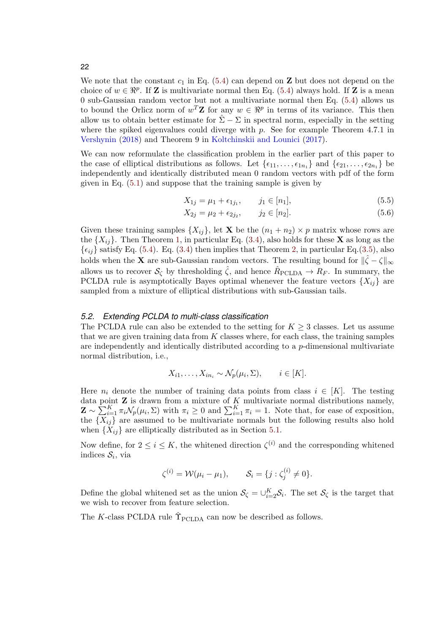### 22

We note that the constant  $c_1$  in Eq. [\(5.4\)](#page-20-1) can depend on  $\mathbf Z$  but does not depend on the choice of  $w \in \mathbb{R}^p$ . If **Z** is multivariate normal then Eq. [\(5.4\)](#page-20-1) always hold. If **Z** is a mean 0 sub-Gaussian random vector but not a multivariate normal then Eq. [\(5.4\)](#page-20-1) allows us to bound the Orlicz norm of  $w^T \mathbf{Z}$  for any  $w \in \mathbb{R}^p$  in terms of its variance. This then allow us to obtain better estimate for  $\Sigma - \Sigma$  in spectral norm, especially in the setting where the spiked eigenvalues could diverge with  $p$ . See for example Theorem 4.7.1 in [Vershynin](#page-27-14) [\(2018\)](#page-27-14) and Theorem 9 in [Koltchinskii and Lounici](#page-26-13) [\(2017\)](#page-26-13).

We can now reformulate the classification problem in the earlier part of this paper to the case of elliptical distributions as follows. Let  $\{\epsilon_{11}, \ldots, \epsilon_{1n_1}\}$  and  $\{\epsilon_{21}, \ldots, \epsilon_{2n_1}\}$  be independently and identically distributed mean 0 random vectors with pdf of the form given in Eq. [\(5.1\)](#page-20-2) and suppose that the training sample is given by

$$
X_{1j} = \mu_1 + \epsilon_{1j_1}, \qquad j_1 \in [n_1], \tag{5.5}
$$

$$
X_{2j} = \mu_2 + \epsilon_{2j_2}, \qquad j_2 \in [n_2]. \tag{5.6}
$$

Given these training samples  $\{X_{ij}\}\$ , let **X** be the  $(n_1 + n_2) \times p$  matrix whose rows are the  $\{X_{ij}\}.$  Then Theorem [1,](#page-12-1) in particular Eq. [\(3.4\)](#page-13-2), also holds for these **X** as long as the  $\{\epsilon_{ij}\}$  satisfy Eq. [\(5.4\)](#page-20-1). Eq. [\(3.4\)](#page-13-2) then implies that Theorem [2,](#page-13-0) in particular Eq.[\(3.5\)](#page-13-3), also holds when the **X** are sub-Gaussian random vectors. The resulting bound for  $\|\hat{\zeta} - \zeta\|_{\infty}$ allows us to recover  $S_{\zeta}$  by thresholding  $\hat{\zeta}$ , and hence  $\hat{R}_{\text{PCLDA}} \to R_F$ . In summary, the PCLDA rule is asymptotically Bayes optimal whenever the feature vectors  $\{X_{ij}\}$  are sampled from a mixture of elliptical distributions with sub-Gaussian tails.

### <span id="page-21-0"></span>*5.2. Extending PCLDA to multi-class classification*

The PCLDA rule can also be extended to the setting for  $K \geq 3$  classes. Let us assume that we are given training data from  $K$  classes where, for each class, the training samples are independently and identically distributed according to a  $p$ -dimensional multivariate normal distribution, i.e.,

$$
X_{i1}, \ldots, X_{in_i} \sim \mathcal{N}_p(\mu_i, \Sigma), \qquad i \in [K].
$$

Here  $n_i$  denote the number of training data points from class  $i \in [K]$ . The testing data point  $Z$  is drawn from a mixture of  $K$  multivariate normal distributions namely,  $\mathbf{Z} \sim \sum_{i=1}^{K} \pi_i \mathcal{N}_p(\mu_i, \Sigma)$  with  $\pi_i \geq 0$  and  $\sum_{i=1}^{K} \pi_i = 1$ . Note that, for ease of exposition, the  $\{X_{ij}\}\$ are assumed to be multivariate normals but the following results also hold when  ${X_{ij}}$  are elliptically distributed as in Section [5.1.](#page-20-0)

Now define, for  $2 \leq i \leq K$ , the whitened direction  $\zeta^{(i)}$  and the corresponding whitened indices  $\mathcal{S}_i$ , via

$$
\zeta^{(i)} = \mathcal{W}(\mu_i - \mu_1), \qquad \mathcal{S}_i = \{j : \zeta_j^{(i)} \neq 0\}.
$$

Define the global whitened set as the union  $\mathcal{S}_{\zeta} = \bigcup_{i=2}^{K} \mathcal{S}_i$ . The set  $\mathcal{S}_{\zeta}$  is the target that we wish to recover from feature selection.

The K-class PCLDA rule  $\hat{\Upsilon}_{\text{PCLDA}}$  can now be described as follows.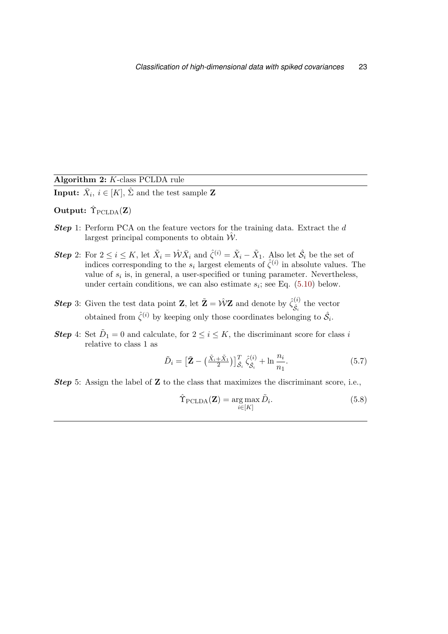| Algorithm 2: K-class PCLDA rule |  |  |  |  |
|---------------------------------|--|--|--|--|
|---------------------------------|--|--|--|--|

**Input:**  $\bar{X}_i$ ,  $i \in [K]$ ,  $\hat{\Sigma}$  and the test sample **Z** 

# Output:  $\hat{\Upsilon}_{\text{PCLDA}}(\mathbf{Z})$

- **Step 1:** Perform PCA on the feature vectors for the training data. Extract the d largest principal components to obtain  $\hat{W}$ .
- **Step** 2: For  $2 \le i \le K$ , let  $\tilde{X}_i = \hat{\mathcal{W}} \bar{X}_i$  and  $\hat{\zeta}^{(i)} = \tilde{X}_i \tilde{X}_1$ . Also let  $\hat{\mathcal{S}}_i$  be the set of indices corresponding to the  $s_i$  largest elements of  $\hat{\zeta}^{(i)}$  in absolute values. The value of  $s_i$  is, in general, a user-specified or tuning parameter. Nevertheless, under certain conditions, we can also estimate  $s_i$ ; see Eq.  $(5.10)$  below.
- **Step** 3: Given the test data point **Z**, let  $\tilde{\mathbf{Z}} = \hat{\mathcal{W}} \mathbf{Z}$  and denote by  $\hat{\zeta}^{(i)}_{\hat{\sigma}}$  $\hat{\mathcal{S}}_i^{(i)}$  the vector obtained from  $\hat{\zeta}^{(i)}$  by keeping only those coordinates belonging to  $\hat{\mathcal{S}}_i$ .
- **Step** 4: Set  $D_1 = 0$  and calculate, for  $2 \leq i \leq K$ , the discriminant score for class i relative to class 1 as

$$
\tilde{D}_i = \left[\tilde{\mathbf{Z}} - \left(\frac{\tilde{X}_i + \tilde{X}_1}{2}\right)\right]_{\hat{\mathcal{S}}_i}^T \hat{\zeta}_{\hat{\mathcal{S}}_i}^{(i)} + \ln \frac{n_i}{n_1}.\tag{5.7}
$$

**Step** 5: Assign the label of  $\mathbf{Z}$  to the class that maximizes the discriminant score, i.e.,

$$
\hat{\Upsilon}_{\text{PCLDA}}(\mathbf{Z}) = \underset{i \in [K]}{\arg \max} \tilde{D}_i. \tag{5.8}
$$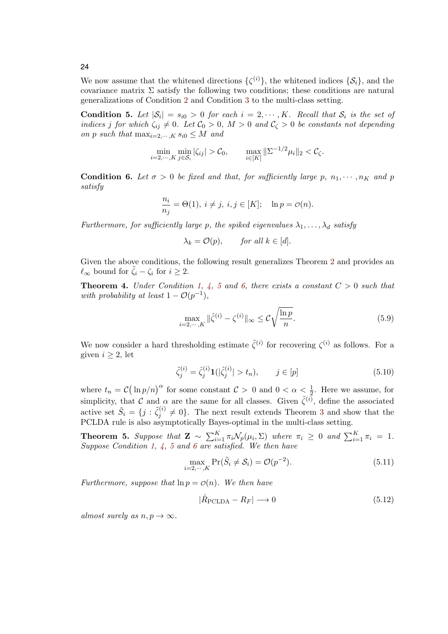We now assume that the whitened directions  $\{\zeta^{(i)}\}\,$ , the whitened indices  $\{\mathcal{S}_i\}\,$ , and the covariance matrix  $\Sigma$  satisfy the following two conditions; these conditions are natural generalizations of Condition [2](#page-11-1) and Condition [3](#page-11-2) to the multi-class setting.

<span id="page-23-1"></span>**Condition 5.** Let  $|\mathcal{S}_i| = s_{i0} > 0$  for each  $i = 2, \dots, K$ . Recall that  $\mathcal{S}_i$  is the set of indices j for which  $\zeta_{ij} \neq 0$ . Let  $\mathcal{C}_0 > 0$ ,  $M > 0$  and  $\mathcal{C}_\zeta > 0$  be constants not depending on p such that  $\max_{i=2,\dots,K} s_{i0} \leq M$  and

$$
\min_{i=2,\cdots,K} \min_{j\in\mathcal{S}_i} |\zeta_{ij}| > \mathcal{C}_0, \qquad \max_{i\in[K]} \|\Sigma^{-1/2}\mu_i\|_2 < \mathcal{C}_{\zeta}.
$$

<span id="page-23-2"></span>**Condition 6.** Let  $\sigma > 0$  be fixed and that, for sufficiently large p,  $n_1, \dots, n_K$  and p satisfy

$$
\frac{n_i}{n_j} = \Theta(1), \ i \neq j, \ i, j \in [K]; \quad \ln p = \mathcal{O}(n).
$$

Furthermore, for sufficiently large p, the spiked eigenvalues  $\lambda_1, \ldots, \lambda_d$  satisfy

$$
\lambda_k = \mathcal{O}(p), \qquad \text{for all } k \in [d].
$$

Given the above conditions, the following result generalizes Theorem [2](#page-13-0) and provides an  $\ell_{\infty}$  bound for  $\zeta_i - \zeta_i$  for  $i \geq 2$ .

**Theorem 4.** Under Condition [1,](#page-7-0) [4,](#page-12-0) [5](#page-23-1) and [6,](#page-23-2) there exists a constant  $C > 0$  such that with probability at least  $1 - \mathcal{O}(p^{-1}),$ 

$$
\max_{i=2,\cdots,K} \|\hat{\zeta}^{(i)} - \zeta^{(i)}\|_{\infty} \le C\sqrt{\frac{\ln p}{n}}.\tag{5.9}
$$

We now consider a hard thresholding estimate  $\tilde{\zeta}^{(i)}$  for recovering  $\zeta^{(i)}$  as follows. For a given  $i \geq 2$ , let

<span id="page-23-0"></span>
$$
\tilde{\zeta}_j^{(i)} = \hat{\zeta}_j^{(i)} \mathbf{1}(|\hat{\zeta}_j^{(i)}| > t_n), \qquad j \in [p] \tag{5.10}
$$

where  $t_n = C(\ln p/n)^{\alpha}$  for some constant  $C > 0$  and  $0 < \alpha < \frac{1}{2}$ . Here we assume, for simplicity, that C and  $\alpha$  are the same for all classes. Given  $\tilde{\zeta}^{(i)}$ , define the associated active set  $\tilde{S}_i = \{j : \tilde{\zeta}_i^{(i)}\}$  $j^{(i)} \neq 0$ . The next result extends Theorem [3](#page-13-1) and show that the PCLDA rule is also asymptotically Bayes-optimal in the multi-class setting.

**Theorem 5.** Suppose that  $\mathbf{Z} \sim \sum_{i=1}^{K} \pi_i \mathcal{N}_p(\mu_i, \Sigma)$  where  $\pi_i \geq 0$  and  $\sum_{i=1}^{K} \pi_i = 1$ . Suppose Condition [1,](#page-7-0)  $\frac{1}{4}$ , [5](#page-23-1) and [6](#page-23-2) are satisfied. We then have

$$
\max_{i=2,\cdots,K} \Pr(\tilde{S}_i \neq S_i) = \mathcal{O}(p^{-2}).\tag{5.11}
$$

Furthermore, suppose that  $\ln p = \mathcal{O}(n)$ . We then have

$$
|\hat{R}_{\text{PCLDA}} - R_F| \longrightarrow 0 \tag{5.12}
$$

almost surely as  $n, p \rightarrow \infty$ .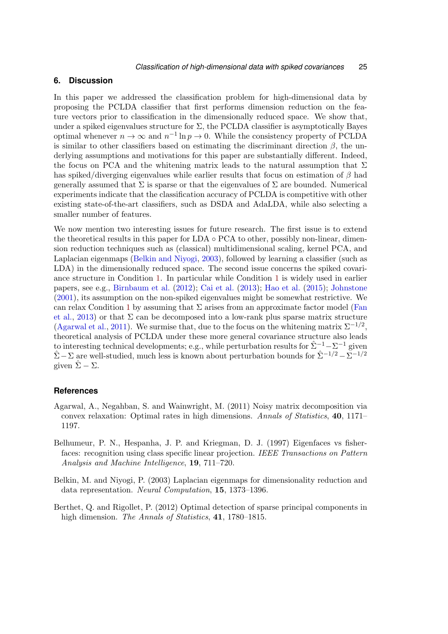# **6. Discussion**

In this paper we addressed the classification problem for high-dimensional data by proposing the PCLDA classifier that first performs dimension reduction on the feature vectors prior to classification in the dimensionally reduced space. We show that, under a spiked eigenvalues structure for  $\Sigma$ , the PCLDA classifier is asymptotically Bayes optimal whenever  $n \to \infty$  and  $n^{-1} \ln p \to 0$ . While the consistency property of PCLDA is similar to other classifiers based on estimating the discriminant direction  $\beta$ , the underlying assumptions and motivations for this paper are substantially different. Indeed, the focus on PCA and the whitening matrix leads to the natural assumption that  $\Sigma$ has spiked/diverging eigenvalues while earlier results that focus on estimation of  $\beta$  had generally assumed that  $\Sigma$  is sparse or that the eigenvalues of  $\Sigma$  are bounded. Numerical experiments indicate that the classification accuracy of PCLDA is competitive with other existing state-of-the-art classifiers, such as DSDA and AdaLDA, while also selecting a smaller number of features.

We now mention two interesting issues for future research. The first issue is to extend the theoretical results in this paper for LDA  $\circ$  PCA to other, possibly non-linear, dimension reduction techniques such as (classical) multidimensional scaling, kernel PCA, and Laplacian eigenmaps [\(Belkin and Niyogi,](#page-24-2) [2003\)](#page-24-2), followed by learning a classifier (such as LDA) in the dimensionally reduced space. The second issue concerns the spiked covariance structure in Condition [1.](#page-7-0) In particular while Condition [1](#page-7-0) is widely used in earlier papers, see e.g., [Birnbaum et al.](#page-25-8) [\(2012\)](#page-25-8); [Cai et al.](#page-25-9) [\(2013\)](#page-25-9); [Hao et al.](#page-26-7) [\(2015\)](#page-26-7); [Johnstone](#page-26-5) [\(2001\)](#page-26-5), its assumption on the non-spiked eigenvalues might be somewhat restrictive. We can relax Condition [1](#page-7-0) by assuming that  $\Sigma$  arises from an approximate factor model [\(Fan](#page-25-11) [et al.,](#page-25-11) [2013\)](#page-25-11) or that  $\Sigma$  can be decomposed into a low-rank plus sparse matrix structure [\(Agarwal et al.,](#page-24-3) [2011\)](#page-24-3). We surmise that, due to the focus on the whitening matrix  $\Sigma^{-1/2}$ , theoretical analysis of PCLDA under these more general covariance structure also leads to interesting technical developments; e.g., while perturbation results for  $\hat{\Sigma}^{-1} - \Sigma^{-1}$  given  $\hat{\Sigma} - \Sigma$  are well-studied, much less is known about perturbation bounds for  $\hat{\Sigma}^{-1/2} - \bar{\Sigma}^{-1/2}$ given  $\hat{\Sigma} - \Sigma$ .

## **References**

- <span id="page-24-3"></span>Agarwal, A., Negahban, S. and Wainwright, M. (2011) Noisy matrix decomposition via convex relaxation: Optimal rates in high dimensions. Annals of Statistics, 40, 1171– 1197.
- <span id="page-24-0"></span>Belhumeur, P. N., Hespanha, J. P. and Kriegman, D. J. (1997) Eigenfaces vs fisherfaces: recognition using class specific linear projection. IEEE Transactions on Pattern Analysis and Machine Intelligence, 19, 711–720.
- <span id="page-24-2"></span>Belkin, M. and Niyogi, P. (2003) Laplacian eigenmaps for dimensionality reduction and data representation. Neural Computation, 15, 1373–1396.
- <span id="page-24-1"></span>Berthet, Q. and Rigollet, P. (2012) Optimal detection of sparse principal components in high dimension. The Annals of Statistics, 41, 1780–1815.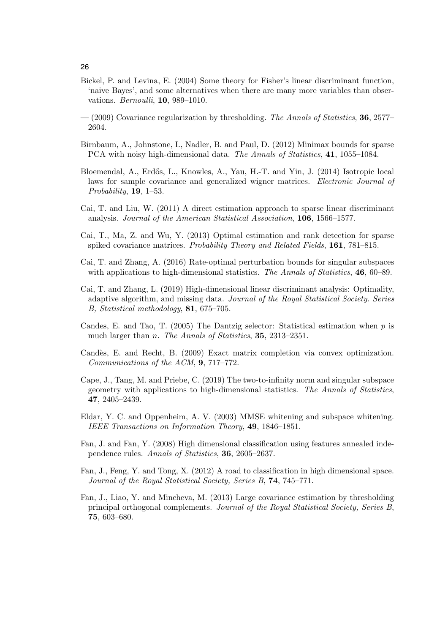- <span id="page-25-0"></span>Bickel, P. and Levina, E. (2004) Some theory for Fisher's linear discriminant function, 'naive Bayes', and some alternatives when there are many more variables than observations. Bernoulli, 10, 989–1010.
- <span id="page-25-3"></span> $-(2009)$  Covariance regularization by thresholding. The Annals of Statistics, 36, 2577– 2604.
- <span id="page-25-8"></span>Birnbaum, A., Johnstone, I., Nadler, B. and Paul, D. (2012) Minimax bounds for sparse PCA with noisy high-dimensional data. The Annals of Statistics, 41, 1055–1084.
- <span id="page-25-13"></span>Bloemendal, A., Erdős, L., Knowles, A., Yau, H.-T. and Yin, J. (2014) Isotropic local laws for sample covariance and generalized wigner matrices. Electronic Journal of Probability,  $19, 1-53$ .
- <span id="page-25-4"></span>Cai, T. and Liu, W. (2011) A direct estimation approach to sparse linear discriminant analysis. Journal of the American Statistical Association, 106, 1566–1577.
- <span id="page-25-9"></span>Cai, T., Ma, Z. and Wu, Y. (2013) Optimal estimation and rank detection for sparse spiked covariance matrices. Probability Theory and Related Fields, 161, 781–815.
- <span id="page-25-14"></span>Cai, T. and Zhang, A. (2016) Rate-optimal perturbation bounds for singular subspaces with applications to high-dimensional statistics. The Annals of Statistics, 46, 60–89.
- <span id="page-25-5"></span>Cai, T. and Zhang, L. (2019) High-dimensional linear discriminant analysis: Optimality, adaptive algorithm, and missing data. Journal of the Royal Statistical Society. Series B, Statistical methodology, 81, 675–705.
- <span id="page-25-6"></span>Candes, E. and Tao, T. (2005) The Dantzig selector: Statistical estimation when  $p$  is much larger than *n*. The Annals of Statistics, **35**, 2313–2351.
- <span id="page-25-12"></span>Candès, E. and Recht, B. (2009) Exact matrix completion via convex optimization. Communications of the ACM, 9, 717–772.
- <span id="page-25-10"></span>Cape, J., Tang, M. and Priebe, C. (2019) The two-to-infinity norm and singular subspace geometry with applications to high-dimensional statistics. The Annals of Statistics, 47, 2405–2439.
- <span id="page-25-7"></span>Eldar, Y. C. and Oppenheim, A. V. (2003) MMSE whitening and subspace whitening. IEEE Transactions on Information Theory, 49, 1846–1851.
- <span id="page-25-1"></span>Fan, J. and Fan, Y. (2008) High dimensional classification using features annealed independence rules. Annals of Statistics, 36, 2605–2637.
- <span id="page-25-2"></span>Fan, J., Feng, Y. and Tong, X. (2012) A road to classification in high dimensional space. Journal of the Royal Statistical Society, Series B, 74, 745–771.
- <span id="page-25-11"></span>Fan, J., Liao, Y. and Mincheva, M. (2013) Large covariance estimation by thresholding principal orthogonal complements. Journal of the Royal Statistical Society, Series B, 75, 603–680.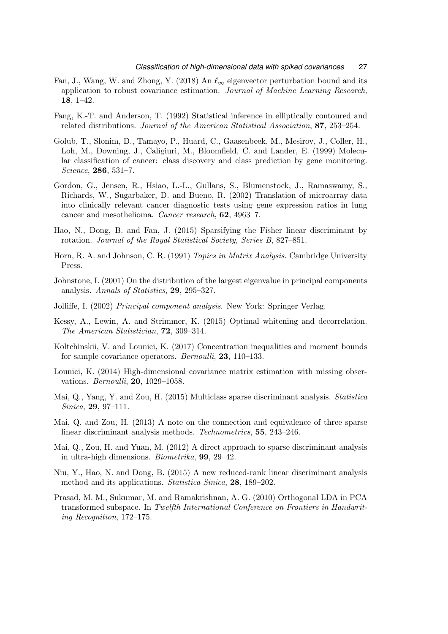- <span id="page-26-6"></span>Fan, J., Wang, W. and Zhong, Y. (2018) An  $\ell_{\infty}$  eigenvector perturbation bound and its application to robust covariance estimation. Journal of Machine Learning Research, 18, 1–42.
- <span id="page-26-12"></span>Fang, K.-T. and Anderson, T. (1992) Statistical inference in elliptically contoured and related distributions. Journal of the American Statistical Association, 87, 253–254.
- <span id="page-26-10"></span>Golub, T., Slonim, D., Tamayo, P., Huard, C., Gaasenbeek, M., Mesirov, J., Coller, H., Loh, M., Downing, J., Caligiuri, M., Bloomfield, C. and Lander, E. (1999) Molecular classification of cancer: class discovery and class prediction by gene monitoring. Science, 286, 531–7.
- <span id="page-26-11"></span>Gordon, G., Jensen, R., Hsiao, L.-L., Gullans, S., Blumenstock, J., Ramaswamy, S., Richards, W., Sugarbaker, D. and Bueno, R. (2002) Translation of microarray data into clinically relevant cancer diagnostic tests using gene expression ratios in lung cancer and mesothelioma. Cancer research, 62, 4963–7.
- <span id="page-26-7"></span>Hao, N., Dong, B. and Fan, J. (2015) Sparsifying the Fisher linear discriminant by rotation. Journal of the Royal Statistical Society, Series B, 827–851.
- <span id="page-26-15"></span>Horn, R. A. and Johnson, C. R. (1991) Topics in Matrix Analysis. Cambridge University Press.
- <span id="page-26-5"></span>Johnstone, I. (2001) On the distribution of the largest eigenvalue in principal components analysis. Annals of Statistics, 29, 295–327.
- <span id="page-26-1"></span>Jolliffe, I. (2002) Principal component analysis. New York: Springer Verlag.
- <span id="page-26-4"></span>Kessy, A., Lewin, A. and Strimmer, K. (2015) Optimal whitening and decorrelation. The American Statistician, 72, 309–314.
- <span id="page-26-13"></span>Koltchinskii, V. and Lounici, K. (2017) Concentration inequalities and moment bounds for sample covariance operators. *Bernoulli*, **23**, 110–133.
- <span id="page-26-14"></span>Lounici, K. (2014) High-dimensional covariance matrix estimation with missing observations. Bernoulli, 20, 1029–1058.
- <span id="page-26-8"></span>Mai, Q., Yang, Y. and Zou, H. (2015) Multiclass sparse discriminant analysis. Statistica Sinica, 29, 97–111.
- <span id="page-26-9"></span>Mai, Q. and Zou, H. (2013) A note on the connection and equivalence of three sparse linear discriminant analysis methods. Technometrics, 55, 243–246.
- <span id="page-26-0"></span>Mai, Q., Zou, H. and Yuan, M. (2012) A direct approach to sparse discriminant analysis in ultra-high dimensions. Biometrika, 99, 29–42.
- <span id="page-26-2"></span>Niu, Y., Hao, N. and Dong, B. (2015) A new reduced-rank linear discriminant analysis method and its applications. Statistica Sinica, 28, 189–202.
- <span id="page-26-3"></span>Prasad, M. M., Sukumar, M. and Ramakrishnan, A. G. (2010) Orthogonal LDA in PCA transformed subspace. In Twelfth International Conference on Frontiers in Handwriting Recognition, 172–175.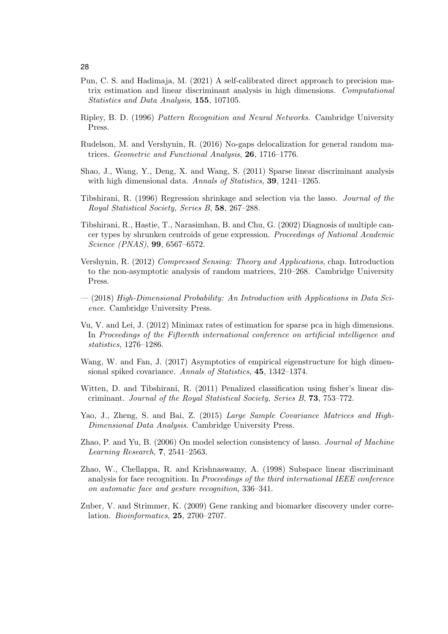- <span id="page-27-13"></span>Pun, C. S. and Hadimaja, M. (2021) A self-calibrated direct approach to precision matrix estimation and linear discriminant analysis in high dimensions. Computational Statistics and Data Analysis, 155, 107105.
- <span id="page-27-10"></span>Ripley, B. D. (1996) Pattern Recognition and Neural Networks. Cambridge University Press.
- <span id="page-27-11"></span>Rudelson, M. and Vershynin, R. (2016) No-gaps delocalization for general random matrices. Geometric and Functional Analysis, 26, 1716–1776.
- <span id="page-27-1"></span>Shao, J., Wang, Y., Deng, X. and Wang, S. (2011) Sparse linear discriminant analysis with high dimensional data. Annals of Statistics, **39**, 1241–1265.
- <span id="page-27-3"></span>Tibshirani, R. (1996) Regression shrinkage and selection via the lasso. Journal of the Royal Statistical Society, Series B, 58, 267–288.
- <span id="page-27-0"></span>Tibshirani, R., Hastie, T., Narasimhan, B. and Chu, G. (2002) Diagnosis of multiple cancer types by shrunken centroids of gene expression. Proceedings of National Academic Science (PNAS), 99, 6567–6572.
- <span id="page-27-6"></span>Vershynin, R. (2012) Compressed Sensing: Theory and Applications, chap. Introduction to the non-asymptotic analysis of random matrices, 210–268. Cambridge University Press.
- <span id="page-27-14"></span>— (2018) High-Dimensional Probability: An Introduction with Applications in Data Science. Cambridge University Press.
- <span id="page-27-8"></span>Vu, V. and Lei, J. (2012) Minimax rates of estimation for sparse pca in high dimensions. In Proceedings of the Fifteenth international conference on artificial intelligence and statistics, 1276–1286.
- <span id="page-27-5"></span>Wang, W. and Fan, J. (2017) Asymptotics of empirical eigenstructure for high dimensional spiked covariance. Annals of Statistics, 45, 1342–1374.
- <span id="page-27-2"></span>Witten, D. and Tibshirani, R. (2011) Penalized classification using fisher's linear discriminant. Journal of the Royal Statistical Society, Series B, 73, 753–772.
- <span id="page-27-7"></span>Yao, J., Zheng, S. and Bai, Z. (2015) Large Sample Covariance Matrices and High-Dimensional Data Analysis. Cambridge University Press.
- <span id="page-27-12"></span>Zhao, P. and Yu, B. (2006) On model selection consistency of lasso. Journal of Machine Learning Research, 7, 2541–2563.
- <span id="page-27-4"></span>Zhao, W., Chellappa, R. and Krishnaswamy, A. (1998) Subspace linear discriminant analysis for face recognition. In *Proceedings of the third international IEEE conference* on automatic face and gesture recognition, 336–341.
- <span id="page-27-9"></span>Zuber, V. and Strimmer, K. (2009) Gene ranking and biomarker discovery under correlation. Bioinformatics, 25, 2700–2707.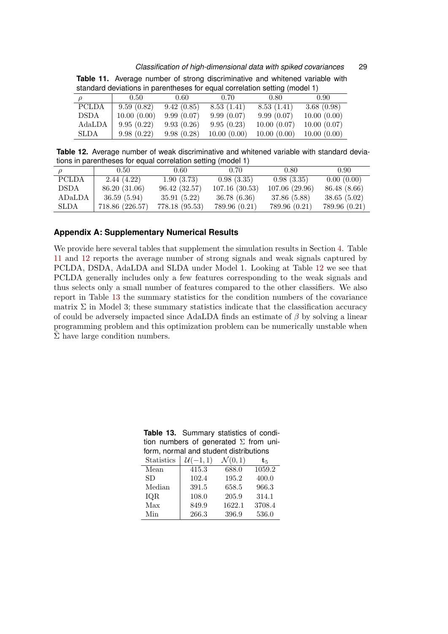#### <span id="page-28-1"></span>*Classification of high-dimensional data with spiked covariances* 29

|              | <u>atorian a annoual annoual annoual dia adam annoual annoual annoual (indeed il</u> |                |             |             |             |
|--------------|--------------------------------------------------------------------------------------|----------------|-------------|-------------|-------------|
|              | 0.50                                                                                 | $0.60^{\circ}$ | 0.70        | 0.80        | 0.90        |
| <b>PCLDA</b> | 9.59(0.82)                                                                           | 9.42(0.85)     | 8.53(1.41)  | 8.53(1.41)  | 3.68(0.98)  |
| DSDA         | 10.00(0.00)                                                                          | 9.99(0.07)     | 9.99(0.07)  | 9.99(0.07)  | 10.00(0.00) |
| AdaLDA       | 9.95(0.22)                                                                           | 9.93(0.26)     | 9.95(0.23)  | 10.00(0.07) | 10.00(0.07) |
| <b>SLDA</b>  | 9.98(0.22)                                                                           | 9.98(0.28)     | 10.00(0.00) | 10.00(0.00) | 10.00(0.00) |
|              |                                                                                      |                |             |             |             |

**Table 11.** Average number of strong discriminative and whitened variable with standard deviations in parentheses for equal correlation setting (model 1)

<span id="page-28-2"></span>**Table 12.** Average number of weak discriminative and whitened variable with standard deviations in parentheses for equal correlation setting (model 1)

|              | $0.50^{\circ}$  | $0.60\,$       | 0.70          | 0.80          | 0.90          |
|--------------|-----------------|----------------|---------------|---------------|---------------|
| <b>PCLDA</b> | 2.44(4.22)      | 1.90(3.73)     | 0.98(3.35)    | 0.98(3.35)    | 0.00(0.00)    |
| DSDA         | 86.20 (31.06)   | 96.42(32.57)   | 107.16(30.53) | 107.06(29.96) | 86.48 (8.66)  |
| ADaLDA       | 36.59(5.94)     | 35.91 (5.22)   | 36.78(6.36)   | 37.86 (5.88)  | 38.65(5.02)   |
| SLDA         | 718.86 (226.57) | 778.18 (95.53) | 789.96 (0.21) | 789.96 (0.21) | 789.96 (0.21) |

### **Appendix A: Supplementary Numerical Results**

We provide here several tables that supplement the simulation results in Section [4.](#page-14-0) Table [11](#page-28-1) and [12](#page-28-2) reports the average number of strong signals and weak signals captured by PCLDA, DSDA, AdaLDA and SLDA under Model 1. Looking at Table [12](#page-28-2) we see that PCLDA generally includes only a few features corresponding to the weak signals and thus selects only a small number of features compared to the other classifiers. We also report in Table [13](#page-28-0) the summary statistics for the condition numbers of the covariance matrix  $\Sigma$  in Model 3; these summary statistics indicate that the classification accuracy of could be adversely impacted since AdaLDA finds an estimate of  $\beta$  by solving a linear programming problem and this optimization problem can be numerically unstable when  $\hat{\Sigma}$  have large condition numbers.

<span id="page-28-0"></span>**Table 13.** Summary statistics of condition numbers of generated  $\Sigma$  from uniform, normal and student distributions

| <b>Statistics</b> | $(-1,1)$ | $\mathcal{N}(0,1)$ | ts.    |
|-------------------|----------|--------------------|--------|
| Mean              | 415.3    | 688.0              | 1059.2 |
| SD.               | 102.4    | 195.2              | 400.0  |
| Median            | 391.5    | 658.5              | 966.3  |
| IQR               | 108.0    | 205.9              | 314.1  |
| Max               | 849.9    | 1622.1             | 3708.4 |
| Min               | 266.3    | 396.9              | 536.0  |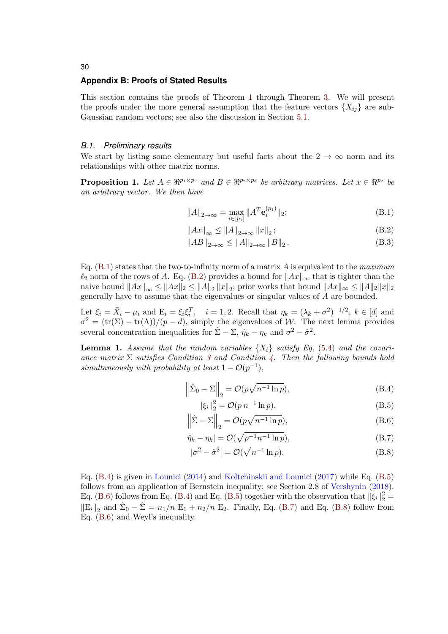### **Appendix B: Proofs of Stated Results**

This section contains the proofs of Theorem [1](#page-12-1) through Theorem [3.](#page-13-1) We will present the proofs under the more general assumption that the feature vectors  $\{X_{ii}\}\$ are sub-Gaussian random vectors; see also the discussion in Section [5.1.](#page-20-0)

### *B.1. Preliminary results*

We start by listing some elementary but useful facts about the  $2 \rightarrow \infty$  norm and its relationships with other matrix norms.

<span id="page-29-0"></span>**Proposition 1.** Let  $A \in \mathbb{R}^{p_1 \times p_2}$  and  $B \in \mathbb{R}^{p_2 \times p_3}$  be arbitrary matrices. Let  $x \in \mathbb{R}^{p_2}$  be an arbitrary vector. We then have

<span id="page-29-1"></span>
$$
||A||_{2 \to \infty} = \max_{i \in [p_1]} ||A^T \mathbf{e}_i^{(p_1)}||_2;
$$
 (B.1)

<span id="page-29-2"></span>
$$
||Ax||_{\infty} \le ||A||_{2 \to \infty} ||x||_2 ; \tag{B.2}
$$

$$
||AB||_{2\to\infty} \le ||A||_{2\to\infty} ||B||_2.
$$
 (B.3)

Eq.  $(B.1)$  states that the two-to-infinity norm of a matrix A is equivalent to the maximum  $\ell_2$  norm of the rows of A. Eq. [\(B.2\)](#page-29-2) provides a bound for  $||Ax||_{\infty}$  that is tighter than the naive bound  $||Ax||_{\infty} \le ||Ax||_2 \le ||A||_2 ||x||_2$ ; prior works that bound  $||Ax||_{\infty} \le ||A||_2 ||x||_2$ generally have to assume that the eigenvalues or singular values of A are bounded.

Let  $\xi_i = \bar{X}_i - \mu_i$  and  $E_i = \xi_i \xi_i^T$ ,  $i = 1, 2$ . Recall that  $\eta_k = (\lambda_k + \sigma^2)^{-1/2}$ ,  $k \in [d]$  and  $\sigma^2 = (\text{tr}(\Sigma) - \text{tr}(\Lambda))/((p - d))$ , simply the eigenvalues of W. The next lemma provides several concentration inequalities for  $\hat{\Sigma} - \Sigma$ ,  $\hat{\eta}_k - \eta_k$  and  $\sigma^2 - \hat{\sigma}^2$ .

<span id="page-29-8"></span>**Lemma 1.** Assume that the random variables  $\{X_i\}$  satisfy Eq. [\(5.4\)](#page-20-1) and the covariance matrix  $\Sigma$  satisfies Condition [3](#page-11-2) and Condition [4.](#page-12-0) Then the following bounds hold simultaneously with probability at least  $1 - \mathcal{O}(p^{-1}),$ 

$$
\left\|\hat{\Sigma}_0 - \Sigma\right\|_2 = \mathcal{O}(p\sqrt{n^{-1}\ln p}),\tag{B.4}
$$

<span id="page-29-6"></span><span id="page-29-5"></span><span id="page-29-4"></span><span id="page-29-3"></span>
$$
\|\xi_i\|_2^2 = \mathcal{O}(p \, n^{-1} \ln p),\tag{B.5}
$$

$$
\left\|\hat{\Sigma} - \Sigma\right\|_2 = \mathcal{O}(p\sqrt{n^{-1}\ln p}),\tag{B.6}
$$

$$
|\hat{\eta}_k - \eta_k| = \mathcal{O}(\sqrt{p^{-1}n^{-1}\ln p}),\tag{B.7}
$$

<span id="page-29-7"></span>
$$
|\sigma^2 - \hat{\sigma}^2| = \mathcal{O}(\sqrt{n^{-1} \ln p}).
$$
\n(B.8)

Eq. [\(B.4\)](#page-29-3) is given in [Lounici](#page-26-14) [\(2014\)](#page-26-14) and [Koltchinskii and Lounici](#page-26-13) [\(2017\)](#page-26-13) while Eq. [\(B.5\)](#page-29-4) follows from an application of Bernstein inequality; see Section 2.8 of [Vershynin](#page-27-14) [\(2018\)](#page-27-14). Eq. [\(B.6\)](#page-29-5) follows from Eq. [\(B.4\)](#page-29-3) and Eq. [\(B.5\)](#page-29-4) together with the observation that  $\|\xi_i\|_2^2 =$  $\left\|E_i\right\|_2$  and  $\hat{\Sigma}_0 - \hat{\Sigma} = n_1/n \ E_1 + n_2/n \ E_2$ . Finally, Eq. [\(B.7\)](#page-29-6) and Eq. [\(B.8\)](#page-29-7) follow from Eq. [\(B.6\)](#page-29-5) and Weyl's inequality.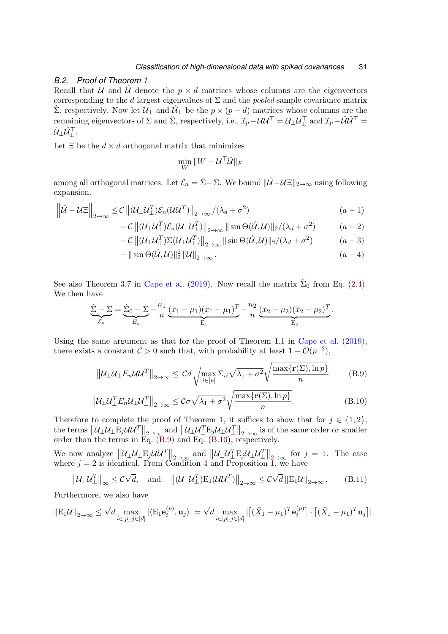## *B.2. Proof of Theorem [1](#page-12-1)*

Recall that U and U denote the  $p \times d$  matrices whose columns are the eigenvectors corresponding to the d largest eigenvalues of  $\Sigma$  and the *pooled* sample covariance matrix  $\Sigma$ , respectively. Now let  $\mathcal{U}_{\perp}$  and  $\mathcal{U}_{\perp}$  be the  $p \times (p - d)$  matrices whose columns are the remaining eigenvectors of  $\Sigma$  and  $\hat{\Sigma}$ , respectively, i.e.,  $\mathcal{I}_p - \mathcal{U}\mathcal{U}^\top = \mathcal{U}_\perp \mathcal{U}_\perp^\top$  and  $\mathcal{I}_p - \hat{\mathcal{U}}\hat{\mathcal{U}}^\top =$  $\hat{\mathcal{U}}_\perp \hat{\mathcal{U}}_\perp^\top.$ 

Let  $\Xi$  be the  $d \times d$  orthogonal matrix that minimizes

$$
\min_W \|W - \mathcal{U}^\top\hat{\mathcal{U}}\|_F
$$

among all orthogonal matrices. Let  $\mathcal{E}_n = \hat{\Sigma} - \Sigma$ . We bound  $\|\hat{\mathcal{U}} - \mathcal{U}\Xi\|_{2\to\infty}$  using following expansion.

$$
\left\| \hat{\mathcal{U}} - \mathcal{U} \Xi \right\|_{2 \to \infty} \leq \mathcal{C} \left\| (\mathcal{U}_{\perp} \mathcal{U}_{\perp}^T) \mathcal{E}_n (\mathcal{U} \mathcal{U}^T) \right\|_{2 \to \infty} / (\lambda_d + \sigma^2)
$$
\n
$$
+ \mathcal{C} \left\| (\mathcal{U}_{\perp} \mathcal{U}_{\perp}^T) \mathcal{E}_n (\mathcal{U}_{\perp} \mathcal{U}^T_{\perp}) \right\|_{2 \to \infty} \left\| \sin \Theta(\hat{\mathcal{U}}, \mathcal{U}) \right\|_2 / (\lambda_d + \sigma^2)
$$
\n
$$
+ \mathcal{C} \left\| (\mathcal{U}_{\perp} \mathcal{U}^T_{\perp}) \Sigma (\mathcal{U}_{\perp} \mathcal{U}^T_{\perp}) \right\|_{2 \to \infty} \left\| \sin \Theta(\hat{\mathcal{U}}, \mathcal{U}) \right\|_2 / (\lambda_d + \sigma^2)
$$
\n
$$
+ \|\sin \Theta(\hat{\mathcal{U}}, \mathcal{U})\|^2 \left\| \mathcal{U} \right\|
$$
\n
$$
(a - 3)
$$
\n
$$
(a - 4)
$$

$$
+ \|\sin\Theta(\hat{U}, U)\|_2^2 \|U\|_{2\to\infty}.
$$
\n
$$
(a-4)
$$

See also Theorem 3.7 in [Cape et al.](#page-25-10) [\(2019\)](#page-25-10). Now recall the matrix  $\hat{\Sigma}_0$  from Eq. [\(2.4\)](#page-3-2). We then have

$$
\hat{\Sigma} - \Sigma = \hat{\Sigma}_0 - \Sigma - \frac{n_1}{n} \underbrace{(\bar{x}_1 - \mu_1)(\bar{x}_1 - \mu_1)^T}_{E_1} - \frac{n_2}{n} \underbrace{(\bar{x}_2 - \mu_2)(\bar{x}_2 - \mu_2)^T}_{E_2}.
$$

Using the same argument as that for the proof of Theorem 1.1 in [Cape et al.](#page-25-10) [\(2019\)](#page-25-10), there exists a constant  $C > 0$  such that, with probability at least  $1 - \mathcal{O}(p^{-2})$ ,

<span id="page-30-1"></span><span id="page-30-0"></span>
$$
\left\| \mathcal{U}_{\perp} \mathcal{U}_{\perp} E_n \mathcal{U} \mathcal{U}^T \right\|_{2 \to \infty} \leq C d \sqrt{\max_{i \in [p]} \Sigma_{ii}} \sqrt{\lambda_1 + \sigma^2} \sqrt{\frac{\max \{ \mathbf{r}(\Sigma), \ln p \}}{n}}
$$
(B.9)

$$
\left\| \mathcal{U}_{\perp} \mathcal{U}_{\perp}^T E_n \mathcal{U}_{\perp} \mathcal{U}_{\perp}^T \right\|_{2 \to \infty} \leq \mathcal{C} \sigma \sqrt{\lambda_1 + \sigma^2} \sqrt{\frac{\max\{r(\Sigma), \ln p\}}{n}}.
$$
\n(B.10)

Therefore to complete the proof of Theorem [1,](#page-12-1) it suffices to show that for  $j \in \{1,2\}$ , the terms  $\|\mathcal{U}_{\perp}\mathcal{U}_{\perp}E_j\mathcal{U}\mathcal{U}^T\|_{2\to\infty}$  and  $\|\mathcal{U}_{\perp}\mathcal{U}_{\perp}^TE_j\mathcal{U}_{\perp}\mathcal{U}^T\|_{2\to\infty}$  is of the same order or smaller order than the terms in Eq. [\(B.9\)](#page-30-0) and Eq. [\(B.10\)](#page-30-1), respectively.

We now analyze  $\|\mathcal{U}_{\perp}\mathcal{U}_{\perp}E_j\mathcal{U}\mathcal{U}^T\|_{2\to\infty}$  and  $\|\mathcal{U}_{\perp}\mathcal{U}^T_{\perp}E_j\mathcal{U}_{\perp}\mathcal{U}^T\|_{2\to\infty}$  for  $j=1$ . The case where  $j = 2$  is identical. From Condition [4](#page-12-0) and Proposition [1,](#page-29-0) we have

<span id="page-30-2"></span>
$$
\|\mathcal{U}_{\perp}\mathcal{U}_{\perp}^T\|_{\infty} \leq C\sqrt{d}, \text{ and } \|\mathcal{U}_{\perp}\mathcal{U}_{\perp}^T\big)E_1(\mathcal{U}\mathcal{U}^T)\|_{2\to\infty} \leq C\sqrt{d} \|\mathcal{E}_1\mathcal{U}\|_{2\to\infty}.
$$
 (B.11)

Furthermore, we also have

$$
\|\mathbf{E}_1\mathcal{U}\|_{2\to\infty} \leq \sqrt{d} \max_{i\in[p],j\in[d]} |\langle \mathbf{E}_1\mathbf{e}_i^{(p)}, \mathbf{u}_j \rangle| = \sqrt{d} \max_{i\in[p],j\in[d]} |[(\bar{X}_1 - \mu_1)^T\mathbf{e}_i^{(p)}] \cdot [(\bar{X}_1 - \mu_1)^T\mathbf{u}_j]|.
$$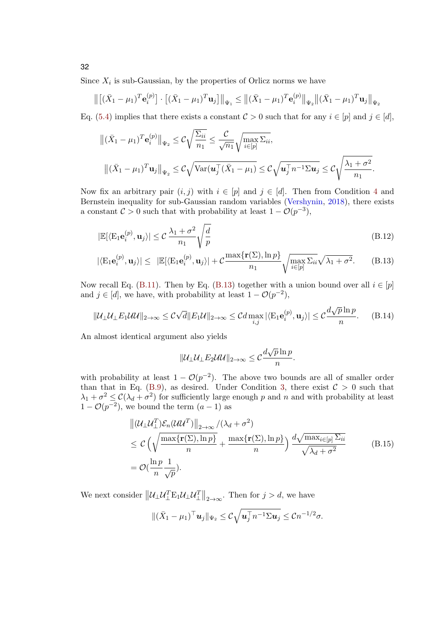Since  $X_i$  is sub-Gaussian, by the properties of Orlicz norms we have

$$
\left\| \left[ (\bar{X}_1 - \mu_1)^T \mathbf{e}_i^{(p)} \right] \cdot \left[ (\bar{X}_1 - \mu_1)^T \mathbf{u}_j \right] \right\|_{\Psi_1} \leq \left\| (\bar{X}_1 - \mu_1)^T \mathbf{e}_i^{(p)} \right\|_{\Psi_2} \left\| (\bar{X}_1 - \mu_1)^T \mathbf{u}_j \right\|_{\Psi_2}
$$

Eq. [\(5.4\)](#page-20-1) implies that there exists a constant  $C > 0$  such that for any  $i \in [p]$  and  $j \in [d]$ ,

$$
\begin{aligned}\n\|(\bar{X}_1 - \mu_1)^T \mathbf{e}_i^{(p)}\|_{\Psi_2} &\leq \mathcal{C} \sqrt{\frac{\Sigma_{ii}}{n_1}} \leq \frac{\mathcal{C}}{\sqrt{n_1}} \sqrt{\max_{i \in [p]} \Sigma_{ii}}, \\
\|(\bar{X}_1 - \mu_1)^T \mathbf{u}_j\|_{\Psi_2} &\leq \mathcal{C} \sqrt{\mathrm{Var}(\mathbf{u}_j^\top (\bar{X}_1 - \mu_1))} \leq \mathcal{C} \sqrt{\mathbf{u}_j^\top n^{-1} \Sigma \mathbf{u}_j} \leq \mathcal{C} \sqrt{\frac{\lambda_1 + \sigma^2}{n_1}}.\n\end{aligned}
$$

Now fix an arbitrary pair  $(i, j)$  with  $i \in [p]$  and  $j \in [d]$ . Then from Condition [4](#page-12-0) and Bernstein inequality for sub-Gaussian random variables [\(Vershynin,](#page-27-14) [2018\)](#page-27-14), there exists a constant  $C > 0$  such that with probability at least  $1 - \mathcal{O}(p^{-3})$ ,

$$
|\mathbb{E}[\langle \mathcal{E}_1 \mathbf{e}_i^{(p)}, \mathbf{u}_j \rangle] \leq C \frac{\lambda_1 + \sigma^2}{n_1} \sqrt{\frac{d}{p}}
$$
(B.12)

$$
|\langle \mathbf{E}_1 \mathbf{e}_i^{(p)}, \mathbf{u}_j \rangle| \leq |\mathbb{E}[\langle \mathbf{E}_1 \mathbf{e}_i^{(p)}, \mathbf{u}_j \rangle| + C \frac{\max\{\mathbf{r}(\Sigma), \ln p\}}{n_1} \sqrt{\max_{i \in [p]} \Sigma_{ii}} \sqrt{\lambda_1 + \sigma^2}.
$$
 (B.13)

Now recall Eq. [\(B.11\)](#page-30-2). Then by Eq. [\(B.13\)](#page-31-0) together with a union bound over all  $i \in [p]$ and  $j \in [d]$ , we have, with probability at least  $1 - \mathcal{O}(p^{-2})$ ,

<span id="page-31-1"></span>
$$
\|\mathcal{U}_{\perp}\mathcal{U}_{\perp}E_1\mathcal{U}\mathcal{U}\|_{2\to\infty} \leq C\sqrt{d}\|E_1\mathcal{U}\|_{2\to\infty} \leq C d \max_{i,j} |\langle E_1 \mathbf{e}_i^{(p)}, \mathbf{u}_j \rangle| \leq C \frac{d\sqrt{p}\ln p}{n}.
$$
 (B.14)

An almost identical argument also yields

<span id="page-31-2"></span><span id="page-31-0"></span>
$$
\|\mathcal{U}_\perp\mathcal{U}_\perp E_2 \mathcal{U}\mathcal{U}\|_{2\to\infty}\leq \mathcal{C}\frac{d\sqrt{p}\ln p}{n}.
$$

with probability at least  $1 - \mathcal{O}(p^{-2})$ . The above two bounds are all of smaller order than that in Eq. [\(B.9\)](#page-30-0), as desired. Under Condition [3,](#page-11-2) there exist  $C > 0$  such that  $\lambda_1 + \sigma^2 \leq C(\lambda_d + \sigma^2)$  for sufficiently large enough p and n and with probability at least  $1 - \mathcal{O}(p^{-2})$ , we bound the term  $(a-1)$  as

$$
\begin{split} & \left\| (\mathcal{U}_{\perp} \mathcal{U}_{\perp}^T) \mathcal{E}_n (\mathcal{U} \mathcal{U}^T) \right\|_{2 \to \infty} / (\lambda_d + \sigma^2) \\ & \leq \mathcal{C} \left( \sqrt{\frac{\max \{ \mathbf{r}(\Sigma), \ln p \}}{n}} + \frac{\max \{ \mathbf{r}(\Sigma), \ln p \}}{n} \right) \frac{d \sqrt{\max_{i \in [p]} \Sigma_{ii}}}{\sqrt{\lambda_d + \sigma^2}} \\ & = \mathcal{O}(\frac{\ln p}{n} \frac{1}{\sqrt{p}}). \end{split} \tag{B.15}
$$

We next consider  $\|\mathcal{U}_{\perp}\mathcal{U}_{\perp}^T\mathbb{E}_1\mathcal{U}_{\perp}\mathcal{U}_{\perp}^T\|_{2\to\infty}$ . Then for  $j > d$ , we have

$$
\|(\bar{X}_1 - \mu_1)^\top \mathbf{u}_j\|_{\Psi_2} \leq C \sqrt{\mathbf{u}_j^\top n^{-1} \Sigma \mathbf{u}_j} \leq C n^{-1/2} \sigma.
$$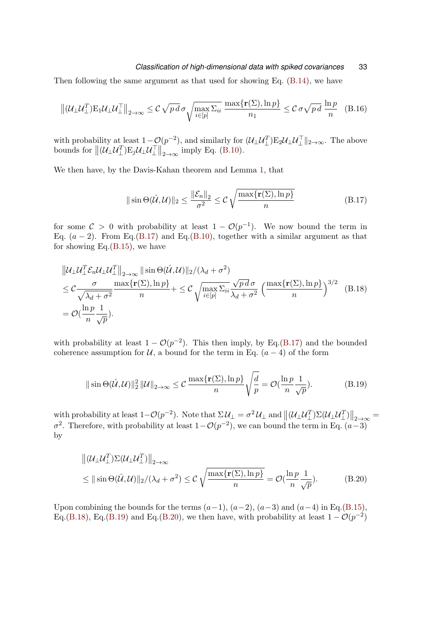### *Classification of high-dimensional data with spiked covariances* 33

Then following the same argument as that used for showing Eq. [\(B.14\)](#page-31-1), we have

$$
\left\| (\mathcal{U}_{\perp} \mathcal{U}_{\perp}^T) E_1 \mathcal{U}_{\perp} \mathcal{U}_{\perp}^T \right\|_{2 \to \infty} \leq \mathcal{C} \sqrt{pd} \sigma \sqrt{\max_{i \in [p]} \Sigma_{ii} \frac{\max\{r(\Sigma), \ln p\}}{n_1}} \leq \mathcal{C} \sigma \sqrt{pd} \frac{\ln p}{n} \quad (B.16)
$$

with probability at least  $1-\mathcal{O}(p^{-2})$ , and similarly for  $(\mathcal{U}_{\perp}\mathcal{U}_{\perp}^T)\mathbb{E}_2\mathcal{U}_{\perp}\mathcal{U}_{\perp}^T\|_{2\to\infty}$ . The above bounds for  $\| (\mathcal{U}_\perp \mathcal{U}_\perp^T) E_j \mathcal{U}_\perp \mathcal{U}_\perp^T \|_{2 \to \infty}$  imply Eq. [\(B.10\)](#page-30-1).

We then have, by the Davis-Kahan theorem and Lemma [1,](#page-29-8) that

<span id="page-32-1"></span><span id="page-32-0"></span>
$$
\|\sin\Theta(\hat{U}, U)\|_2 \le \frac{\|\mathcal{E}_n\|_2}{\sigma^2} \le C\sqrt{\frac{\max\{\mathbf{r}(\Sigma), \ln p\}}{n}}\tag{B.17}
$$

for some  $C > 0$  with probability at least  $1 - \mathcal{O}(p^{-1})$ . We now bound the term in Eq.  $(a - 2)$ . From Eq.[\(B.17\)](#page-32-0) and Eq.[\(B.10\)](#page-30-1), together with a similar argument as that for showing Eq. $(B.15)$ , we have

$$
\|U_{\perp}U_{\perp}^T \mathcal{E}_n U_{\perp}U_{\perp}^T\|_{2\to\infty} \| \sin \Theta(\hat{U}, U) \|_2 / (\lambda_d + \sigma^2)
$$
  
\n
$$
\leq C \frac{\sigma}{\sqrt{\lambda_d + \sigma^2}} \frac{\max\{\mathbf{r}(\Sigma), \ln p\}}{n} + \leq C \sqrt{\max_{i \in [p]} \Sigma_{ii}} \frac{\sqrt{p d \sigma}}{\lambda_d + \sigma^2} \left(\frac{\max\{\mathbf{r}(\Sigma), \ln p\}}{n}\right)^{3/2} \quad (B.18)
$$
  
\n
$$
= \mathcal{O}(\frac{\ln p}{n} \frac{1}{\sqrt{p}}).
$$

with probability at least  $1 - \mathcal{O}(p^{-2})$ . This then imply, by Eq.[\(B.17\)](#page-32-0) and the bounded coherence assumption for  $U$ , a bound for the term in Eq.  $(a - 4)$  of the form

<span id="page-32-2"></span>
$$
\|\sin\Theta(\hat{U},\mathcal{U})\|_{2}^{2}\|\mathcal{U}\|_{2\to\infty} \leq C \frac{\max\{\mathbf{r}(\Sigma),\ln p\}}{n} \sqrt{\frac{d}{p}} = \mathcal{O}(\frac{\ln p}{n}\frac{1}{\sqrt{p}}). \tag{B.19}
$$

with probability at least  $1-\mathcal{O}(p^{-2})$ . Note that  $\Sigma \mathcal{U}_{\perp} = \sigma^2 \mathcal{U}_{\perp}$  and  $\left\|(\mathcal{U}_{\perp} \mathcal{U}_{\perp}^T) \Sigma(\mathcal{U}_{\perp} \mathcal{U}_{\perp}^T)\right\|_{2\to\infty} =$  $\sigma^2$ . Therefore, with probability at least  $1-\mathcal{O}(p^{-2})$ , we can bound the term in Eq.  $(a-3)$ by

<span id="page-32-3"></span>
$$
\| (\mathcal{U}_{\perp} \mathcal{U}_{\perp}^T) \Sigma (\mathcal{U}_{\perp} \mathcal{U}_{\perp}^T) \|_{2 \to \infty} \leq \| \sin \Theta(\hat{\mathcal{U}}, \mathcal{U}) \|_2 / (\lambda_d + \sigma^2) \leq C \sqrt{\frac{\max \{ \mathbf{r}(\Sigma), \ln p \}}{n}} = \mathcal{O}(\frac{\ln p}{n} \frac{1}{\sqrt{p}}).
$$
\n(B.20)

Upon combining the bounds for the terms  $(a-1)$ ,  $(a-2)$ ,  $(a-3)$  and  $(a-4)$  in Eq.[\(B.15\)](#page-31-2), Eq.[\(B.18\)](#page-32-1), Eq.[\(B.19\)](#page-32-2) and Eq.[\(B.20\)](#page-32-3), we then have, with probability at least  $1 - \mathcal{O}(p^{-2})$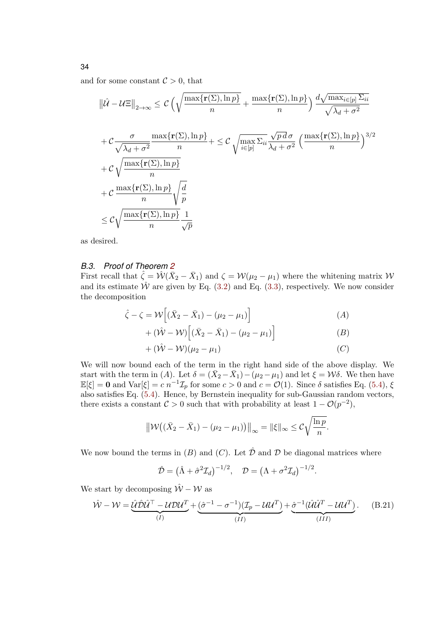and for some constant  $\mathcal{C} > 0$ , that

$$
\|\hat{U} - \mathcal{U}\Xi\|_{2\to\infty} \leq C\left(\sqrt{\frac{\max\{\mathbf{r}(\Sigma), \ln p\}}{n}} + \frac{\max\{\mathbf{r}(\Sigma), \ln p\}}{n}\right) \frac{d\sqrt{\max_{i\in[p]}\Sigma_{ii}}}{\sqrt{\lambda_d + \sigma^2}}
$$
  
+  $C\frac{\sigma}{\sqrt{\lambda_d + \sigma^2}} \frac{\max\{\mathbf{r}(\Sigma), \ln p\}}{n} + \leq C\sqrt{\max_{i\in[p]}\Sigma_{ii}} \frac{\sqrt{p d \sigma}}{\lambda_d + \sigma^2} \left(\frac{\max\{\mathbf{r}(\Sigma), \ln p\}}{n}\right)^{3/2}$   
+  $C\sqrt{\frac{\max\{\mathbf{r}(\Sigma), \ln p\}}{n}}$   
+  $C\frac{\max\{\mathbf{r}(\Sigma), \ln p\}}{n} \sqrt{\frac{d}{p}}$   
 $\leq C\sqrt{\frac{\max\{\mathbf{r}(\Sigma), \ln p\}}{n} \frac{1}{\sqrt{p}}}$ 

as desired.

### *B.3. Proof of Theorem [2](#page-13-0)*

First recall that  $\hat{\zeta} = \hat{\mathcal{W}}(\bar{X}_2 - \bar{X}_1)$  and  $\zeta = \mathcal{W}(\mu_2 - \mu_1)$  where the whitening matrix  $\mathcal{W}$ and its estimate  $\hat{W}$  are given by Eq. [\(3.2\)](#page-12-2) and Eq. [\(3.3\)](#page-12-3), respectively. We now consider the decomposition

$$
\hat{\zeta} - \zeta = \mathcal{W}\Big[ (\bar{X}_2 - \bar{X}_1) - (\mu_2 - \mu_1) \Big] \tag{A}
$$

$$
+(\hat{\mathcal{W}}-\mathcal{W})\Big[(\bar{X}_2-\bar{X}_1)-(\mu_2-\mu_1)\Big]
$$
\n(B)

$$
+(\hat{\mathcal{W}}-\mathcal{W})(\mu_2-\mu_1)\tag{C}
$$

We will now bound each of the term in the right hand side of the above display. We start with the term in (A). Let  $\delta = (\bar{X}_2 - \bar{X}_1) - (\mu_2 - \mu_1)$  and let  $\xi = \mathcal{W}\delta$ . We then have  $\mathbb{E}[\xi] = \mathbf{0}$  and  $\text{Var}[\xi] = c \, n^{-1} \mathcal{I}_p$  for some  $c > 0$  and  $c = \mathcal{O}(1)$ . Since  $\delta$  satisfies Eq. [\(5.4\)](#page-20-1),  $\xi$ also satisfies Eq. [\(5.4\)](#page-20-1). Hence, by Bernstein inequality for sub-Gaussian random vectors, there exists a constant  $C > 0$  such that with probability at least  $1 - \mathcal{O}(p^{-2})$ ,

$$
\|\mathcal{W}((\bar{X}_2 - \bar{X}_1) - (\mu_2 - \mu_1))\|_{\infty} = \|\xi\|_{\infty} \leq C\sqrt{\frac{\ln p}{n}}.
$$

We now bound the terms in  $(B)$  and  $(C)$ . Let  $\hat{\mathcal{D}}$  and  $\mathcal{D}$  be diagonal matrices where

$$
\hat{\mathcal{D}} = \left(\hat{\Lambda} + \hat{\sigma}^2 \mathcal{I}_d\right)^{-1/2}, \quad \mathcal{D} = \left(\Lambda + \sigma^2 \mathcal{I}_d\right)^{-1/2}.
$$

We start by decomposing  $\hat{W} - \hat{W}$  as

<span id="page-33-0"></span>
$$
\hat{\mathcal{W}} - \mathcal{W} = \underbrace{\hat{\mathcal{U}} \hat{\mathcal{D}} \hat{\mathcal{U}}^{\top} - \mathcal{U} \mathcal{D} \mathcal{U}^T}_{(I)} + \underbrace{(\hat{\sigma}^{-1} - \sigma^{-1})(\mathcal{I}_p - \mathcal{U} \mathcal{U}^T)}_{(II)} + \underbrace{\hat{\sigma}^{-1} (\hat{\mathcal{U}} \hat{\mathcal{U}}^T - \mathcal{U} \mathcal{U}^T)}_{(III)}.
$$
 (B.21)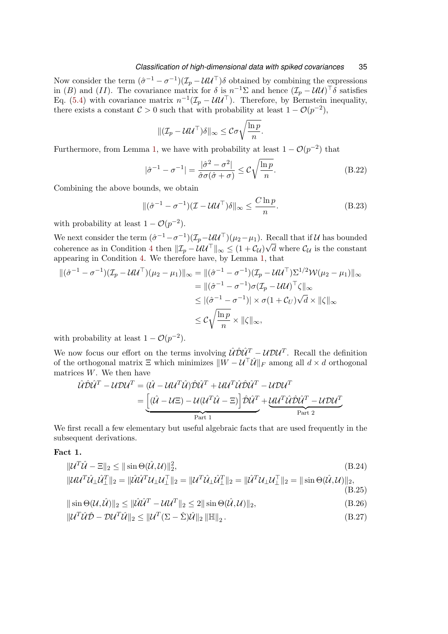Now consider the term  $(\hat{\sigma}^{-1} - \sigma^{-1})(\mathcal{I}_p - \mathcal{U}\mathcal{U}^{\top})\delta$  obtained by combining the expressions in (B) and (II). The covariance matrix for  $\delta$  is  $n^{-1}\Sigma$  and hence  $(\mathcal{I}_p - \mathcal{U}\mathcal{U})^{\top}\delta$  satisfies Eq. [\(5.4\)](#page-20-1) with covariance matrix  $n^{-1}(\mathcal{I}_p - \mathcal{U}\mathcal{U}^{\top})$ . Therefore, by Bernstein inequality, there exists a constant  $C > 0$  such that with probability at least  $1 - \mathcal{O}(p^{-2})$ ,

$$
\|(\mathcal{I}_p - \mathcal{U}\mathcal{U}^\top)\delta\|_{\infty} \leq C\sigma\sqrt{\frac{\ln p}{n}}.
$$

Furthermore, from Lemma [1,](#page-29-8) we have with probability at least  $1 - \mathcal{O}(p^{-2})$  that

$$
|\hat{\sigma}^{-1} - \sigma^{-1}| = \frac{|\hat{\sigma}^2 - \sigma^2|}{\hat{\sigma}\sigma(\hat{\sigma} + \sigma)} \le C\sqrt{\frac{\ln p}{n}}.
$$
 (B.22)

Combining the above bounds, we obtain

<span id="page-34-4"></span>
$$
\|(\hat{\sigma}^{-1} - \sigma^{-1})(\mathcal{I} - \mathcal{U}\mathcal{U}^{\top})\delta\|_{\infty} \le \frac{C \ln p}{n}.
$$
 (B.23)

with probability at least  $1 - \mathcal{O}(p^{-2})$ .

We next consider the term  $(\hat{\sigma}^{-1} - \sigma^{-1})(\mathcal{I}_p - \mathcal{U}\mathcal{U}^\top)(\mu_2 - \mu_1)$ . Recall that if U has bounded coherence as in Condition [4](#page-12-0) then  $\|\mathcal{I}_p - \mathcal{U}\mathcal{U}^\top\|_{\infty} \leq (1 + \mathcal{C}_{\mathcal{U}})\sqrt{d}$  where  $\mathcal{C}_{\mathcal{U}}$  is the constant appearing in Condition [4.](#page-12-0) We therefore have, by Lemma [1,](#page-29-8) that

$$
\begin{aligned} \|(\hat{\sigma}^{-1} - \sigma^{-1})(\mathcal{I}_p - \mathcal{U}\mathcal{U}^\top)(\mu_2 - \mu_1)\|_{\infty} &= \|(\hat{\sigma}^{-1} - \sigma^{-1})(\mathcal{I}_p - \mathcal{U}\mathcal{U}^\top)\Sigma^{1/2}\mathcal{W}(\mu_2 - \mu_1)\|_{\infty} \\ &= \|(\hat{\sigma}^{-1} - \sigma^{-1})\sigma(\mathcal{I}_p - \mathcal{U}\mathcal{U})^\top\zeta\|_{\infty} \\ &\le |(\hat{\sigma}^{-1} - \sigma^{-1})| \times \sigma(1 + \mathcal{C}_U)\sqrt{d} \times \|\zeta\|_{\infty} \\ &\le \mathcal{C}\sqrt{\frac{\ln p}{n}} \times \|\zeta\|_{\infty}, \end{aligned}
$$

with probability at least  $1 - \mathcal{O}(p^{-2})$ .

We now focus our effort on the terms involving  $\hat{\mathcal{U}} \hat{\mathcal{D}} \hat{\mathcal{U}}^T - \mathcal{U} \mathcal{D} \mathcal{U}^T$ . Recall the definition of the orthogonal matrix  $\Xi$  which minimizes  $\|\tilde{W} - \mathcal{U}^\top \hat{\mathcal{U}}\|_F$  among all  $d \times d$  orthogonal matrices  $W$ . We then have

<span id="page-34-0"></span>
$$
\hat{\mathcal{U}}\hat{\mathcal{U}}\hat{\mathcal{U}}^T - \mathcal{U}\mathcal{D}\mathcal{U}^T = (\hat{\mathcal{U}} - \mathcal{U}\mathcal{U}^T\hat{\mathcal{U}})\hat{\mathcal{D}}\hat{\mathcal{U}}^T + \mathcal{U}\mathcal{U}^T\hat{\mathcal{U}}\hat{\mathcal{D}}\hat{\mathcal{U}}^T - \mathcal{U}\mathcal{D}\mathcal{U}^T
$$

$$
= \underbrace{[(\hat{\mathcal{U}} - \mathcal{U}\Xi) - \mathcal{U}(\mathcal{U}^T\hat{\mathcal{U}} - \Xi)]\hat{\mathcal{D}}\hat{\mathcal{U}}^T}_{\text{Part 1}} + \underbrace{\mathcal{U}\mathcal{U}^T\hat{\mathcal{U}}\hat{\mathcal{D}}\hat{\mathcal{U}}^T - \mathcal{U}\mathcal{D}\mathcal{U}^T}_{\text{Part 2}}
$$

We first recall a few elementary but useful algebraic facts that are used frequently in the subsequent derivations.

# Fact 1.

$$
\|\mathcal{U}^T \hat{\mathcal{U}} - \Xi\|_2 \le \|\sin \Theta(\hat{\mathcal{U}}, \mathcal{U})\|_2^2, \tag{B.24}
$$

<span id="page-34-1"></span>
$$
\|\mathcal{U}\mathcal{U}^T\hat{\mathcal{U}}_\perp\hat{\mathcal{U}}_\perp^T\|_2 = \|\hat{\mathcal{U}}\hat{\mathcal{U}}^T\mathcal{U}_\perp\mathcal{U}_\perp^T\|_2 = \|\mathcal{U}^T\hat{\mathcal{U}}_\perp\hat{\mathcal{U}}_\perp^T\|_2 = \|\hat{\mathcal{U}}^T\mathcal{U}_\perp\mathcal{U}_\perp^T\|_2 = \|\sin\Theta(\hat{\mathcal{U}},\mathcal{U})\|_2, \tag{B.25}
$$

<span id="page-34-2"></span>
$$
\|\sin\Theta(\mathcal{U},\hat{\mathcal{U}})\|_2 \le \|\hat{\mathcal{U}}\hat{\mathcal{U}}^T - \mathcal{U}\mathcal{U}^T\|_2 \le 2\|\sin\Theta(\hat{\mathcal{U}},\mathcal{U})\|_2,\tag{B.26}
$$

<span id="page-34-3"></span>
$$
\|\mathcal{U}^T \hat{\mathcal{U}} \hat{\mathcal{D}} - \mathcal{D} \mathcal{U}^T \hat{\mathcal{U}}\|_2 \le \|\mathcal{U}^T (\Sigma - \hat{\Sigma}) \hat{\mathcal{U}}\|_2 \|\mathbb{H}\|_2.
$$
\n(B.27)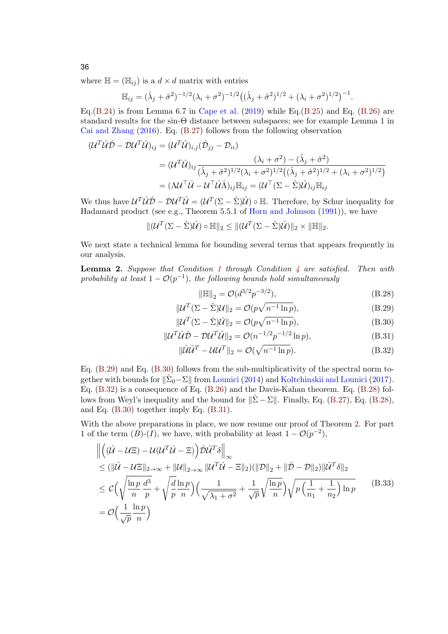where  $\mathbb{H} = (\mathbb{H}_{ij})$  is a  $d \times d$  matrix with entries

$$
\mathbb{H}_{ij} = (\hat{\lambda}_j + \hat{\sigma}^2)^{-1/2} (\lambda_i + \sigma^2)^{-1/2} ((\hat{\lambda}_j + \hat{\sigma}^2)^{1/2} + (\lambda_i + \sigma^2)^{1/2})^{-1}.
$$

Eq.[\(B.24\)](#page-34-0) is from Lemma 6.7 in [Cape et al.](#page-25-10) [\(2019\)](#page-25-10) while Eq.[\(B.25\)](#page-34-1) and Eq. [\(B.26\)](#page-34-2) are standard results for the sin-Θ distance between subspaces; see for example Lemma 1 in [Cai and Zhang](#page-25-14) [\(2016\)](#page-25-14). Eq. [\(B.27\)](#page-34-3) follows from the following observation

$$
(\mathcal{U}^T \hat{\mathcal{U}} \hat{\mathcal{D}} - \mathcal{D} \mathcal{U}^T \hat{\mathcal{U}})_{ij} = (\mathcal{U}^T \hat{\mathcal{U}})_{i,j} (\hat{\mathcal{D}}_{jj} - \mathcal{D}_{ii})
$$
  
\n
$$
= (\mathcal{U}^T \hat{\mathcal{U}})_{ij} \frac{(\lambda_i + \sigma^2) - (\hat{\lambda}_j + \hat{\sigma}^2)}{(\hat{\lambda}_j + \hat{\sigma}^2)^{1/2} (\lambda_i + \sigma^2)^{1/2} ((\hat{\lambda}_j + \hat{\sigma}^2)^{1/2} + (\lambda_i + \sigma^2)^{1/2})}
$$
  
\n
$$
= (\Lambda \mathcal{U}^T \hat{\mathcal{U}} - \mathcal{U}^T \hat{\mathcal{U}} \hat{\Lambda})_{ij} \mathbb{H}_{ij} = (\mathcal{U}^T (\Sigma - \hat{\Sigma}) \hat{\mathcal{U}})_{ij} \mathbb{H}_{ij}
$$

We thus have  $\mathcal{U}^T\hat{\mathcal{U}}\hat{\mathcal{D}} - \mathcal{D}\mathcal{U}^T\hat{\mathcal{U}} = (\mathcal{U}^T(\Sigma - \hat{\Sigma})\hat{\mathcal{U}}) \circ \mathbb{H}$ . Therefore, by Schur inequality for Hadamard product (see e.g., Theorem 5.5.1 of [Horn and Johnson](#page-26-15) [\(1991\)](#page-26-15)), we have

$$
\|(\mathcal{U}^T(\Sigma - \hat{\Sigma})\hat{\mathcal{U}}) \circ \mathbb{H}\|_2 \leq \|(\mathcal{U}^T(\Sigma - \hat{\Sigma})\hat{\mathcal{U}})\|_2 \times \|\mathbb{H}\|_2.
$$

We next state a technical lemma for bounding several terms that appears frequently in our analysis.

**Lemma 2.** Suppose that Condition [1](#page-7-0) through Condition [4](#page-12-0) are satisfied. Then with probability at least  $1 - \mathcal{O}(p^{-1})$ , the following bounds hold simultaneously

<span id="page-35-4"></span><span id="page-35-3"></span><span id="page-35-2"></span><span id="page-35-1"></span><span id="page-35-0"></span>
$$
\|\mathbb{H}\|_{2} = \mathcal{O}(d^{3/2}p^{-3/2}),\tag{B.28}
$$

$$
\|\mathcal{U}^T(\Sigma - \hat{\Sigma})\mathcal{U}\|_2 = \mathcal{O}(p\sqrt{n^{-1}\ln p}),\tag{B.29}
$$

$$
\|\mathcal{U}^T(\Sigma - \hat{\Sigma})\hat{\mathcal{U}}\|_2 = \mathcal{O}(p\sqrt{n^{-1}\ln p}),\tag{B.30}
$$

$$
\|\mathcal{U}^T \hat{\mathcal{U}} \hat{\mathcal{D}} - \mathcal{D} \mathcal{U}^T \hat{\mathcal{U}}\|_2 = \mathcal{O}(n^{-1/2} p^{-1/2} \ln p),\tag{B.31}
$$

$$
\|\hat{\mathcal{U}}\hat{\mathcal{U}}^T - \mathcal{U}\mathcal{U}^T\|_2 = \mathcal{O}(\sqrt{n^{-1}\ln p}).
$$
\n(B.32)

Eq. [\(B.29\)](#page-35-0) and Eq. [\(B.30\)](#page-35-1) follows from the sub-multiplicativity of the spectral norm together with bounds for  $\|\hat{\Sigma}_0 - \Sigma\|$  from [Lounici](#page-26-14) [\(2014\)](#page-26-14) and [Koltchinskii and Lounici](#page-26-13) [\(2017\)](#page-26-13). Eq. [\(B.32\)](#page-35-2) is a consequence of Eq. [\(B.26\)](#page-34-2) and the Davis-Kahan theorem. Eq. [\(B.28\)](#page-35-3) follows from Weyl's inequality and the bound for  $\|\hat{\Sigma} - \Sigma\|$ . Finally, Eq. [\(B.27\)](#page-34-3), Eq. [\(B.28\)](#page-35-3), and Eq. [\(B.30\)](#page-35-1) together imply Eq. [\(B.31\)](#page-35-4).

With the above preparations in place, we now resume our proof of Theorem [2.](#page-13-0) For part 1 of the term  $(B)-(I)$ , we have, with probability at least  $1 - \mathcal{O}(p^{-2})$ ,

<span id="page-35-5"></span>
$$
\begin{split}\n\left\| \left( (\hat{U} - U\Xi) - \mathcal{U}(\mathcal{U}^T \hat{U} - \Xi) \right) \hat{\mathcal{D}} \hat{\mathcal{U}}^T \delta \right\|_{\infty} \\
&\leq (\|\hat{U} - U\Xi\|_{2 \to \infty} + \|\mathcal{U}\|_{2 \to \infty} \|\mathcal{U}^T \hat{U} - \Xi\|_2) (\|\mathcal{D}\|_2 + \|\hat{D} - \mathcal{D}\|_2) \|\hat{\mathcal{U}}^T \delta\|_2 \\
&\leq \mathcal{C} \Big( \sqrt{\frac{\ln p}{n}} \frac{d^3}{p} + \sqrt{\frac{d}{p}} \frac{\ln p}{n} \Big) \Big( \frac{1}{\sqrt{\lambda_1 + \sigma^2}} + \frac{1}{\sqrt{p}} \sqrt{\frac{\ln p}{n}} \Big) \sqrt{p \left( \frac{1}{n_1} + \frac{1}{n_2} \right) \ln p} \n\end{split}
$$
\n(B.33)\n
$$
= \mathcal{O} \Big( \frac{1}{\sqrt{p}} \frac{\ln p}{n} \Big)
$$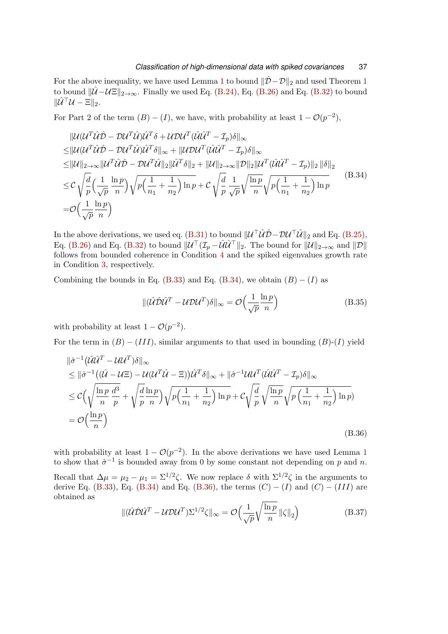For the above inequality, we have used Lemma [1](#page-12-1) to bound  $\|\hat{\mathcal{D}}-\mathcal{D}\|_2$  and used Theorem 1 to bound  $\|\hat{U} - U\mathbf{E}\|_{2\to\infty}$ . Finally we used Eq. [\(B.24\)](#page-34-0), Eq. [\(B.26\)](#page-34-2) and Eq. [\(B.32\)](#page-35-2) to bound  $\|\widehat{U}^\top \mathcal{U} - \Xi\|_2.$ 

For Part 2 of the term  $(B) - (I)$ , we have, with probability at least  $1 - \mathcal{O}(p^{-2})$ ,

<span id="page-36-0"></span>
$$
\|U(U^T\hat{U}\hat{D} - DU^T\hat{U})\hat{U}^T\delta + UDU^T(\hat{U}\hat{U}^T - \mathcal{I}_p)\delta\|_{\infty} \n\leq \|U(U^T\hat{U}\hat{D} - DU^T\hat{U})\hat{U}^T\delta\|_{\infty} + \|UDU^T(\hat{U}\hat{U}^T - \mathcal{I}_p)\delta\|_{\infty} \n\leq \|U\|_{2\to\infty} \|U^T\hat{U}\hat{D} - DU^T\hat{U}\|_{2}\|\hat{U}^T\delta\|_{2} + \|U\|_{2\to\infty} \|D\|_{2}\|U^T(\hat{U}\hat{U}^T - \mathcal{I}_p)\|_{2}\|\delta\|_{2} \n\leq C\sqrt{\frac{d}{p}}\left(\frac{1}{\sqrt{p}}\frac{\ln p}{n}\right)\sqrt{p\left(\frac{1}{n_1} + \frac{1}{n_2}\right)\ln p} + C\sqrt{\frac{d}{p}}\frac{1}{\sqrt{p}}\sqrt{\frac{\ln p}{n}}\sqrt{p\left(\frac{1}{n_1} + \frac{1}{n_2}\right)\ln p} \n= \mathcal{O}\left(\frac{1}{\sqrt{p}}\frac{\ln p}{n}\right)
$$
\n(B.34)

In the above derivations, we used eq. [\(B.31\)](#page-35-4) to bound  $\|\mathcal{U}^\top \mathcal{\hat{U}}\hat{\mathcal{D}} - \mathcal{D}\mathcal{U}^\top \mathcal{\hat{U}}\|_2$  and Eq. [\(B.25\)](#page-34-1), Eq. [\(B.26\)](#page-34-2) and Eq. [\(B.32\)](#page-35-2) to bound  $\|\mathcal{U}^\top(\mathcal{I}_p-\hat{\mathcal{U}}\hat{\mathcal{U}}^\top\|_2$ . The bound for  $\|\mathcal{U}\|_{2\to\infty}$  and  $\|\mathcal{D}\|$ follows from bounded coherence in Condition [4](#page-12-0) and the spiked eigenvalues growth rate in Condition [3,](#page-11-2) respectively.

Combining the bounds in Eq. [\(B.33\)](#page-35-5) and Eq. [\(B.34\)](#page-36-0), we obtain  $(B) - (I)$  as

$$
\|(\hat{U}\hat{\mathcal{D}}\hat{U}^T - U\mathcal{D}U^T)\delta\|_{\infty} = \mathcal{O}\left(\frac{1}{\sqrt{p}}\frac{\ln p}{n}\right)
$$
(B.35)

with probability at least  $1 - \mathcal{O}(p^{-2})$ .

For the term in  $(B) - (III)$ , similar arguments to that used in bounding  $(B)-(I)$  yield

<span id="page-36-1"></span>
$$
\|\hat{\sigma}^{-1}(\hat{\mathcal{U}}\hat{\mathcal{U}}^T - \mathcal{U}\mathcal{U}^T)\delta\|_{\infty} \n\leq \|\hat{\sigma}^{-1}((\hat{\mathcal{U}} - \mathcal{U}\Xi) - \mathcal{U}(\mathcal{U}^T\hat{\mathcal{U}} - \Xi))\hat{\mathcal{U}}^T\delta\|_{\infty} + \|\hat{\sigma}^{-1}\mathcal{U}\mathcal{U}^T(\hat{\mathcal{U}}\hat{\mathcal{U}}^T - \mathcal{I}_p)\delta\|_{\infty} \n\leq \mathcal{C}\left(\sqrt{\frac{\ln p}{n}\frac{d^3}{p}} + \sqrt{\frac{d}{p}\frac{\ln p}{n}}\right)\sqrt{p\left(\frac{1}{n_1} + \frac{1}{n_2}\right)\ln p} + \mathcal{C}\sqrt{\frac{d}{p}}\sqrt{\frac{\ln p}{n}}\sqrt{p\left(\frac{1}{n_1} + \frac{1}{n_2}\right)\ln p} \n= \mathcal{O}\left(\frac{\ln p}{n}\right)
$$
\n(B.36)

with probability at least  $1 - \mathcal{O}(p^{-2})$  $1 - \mathcal{O}(p^{-2})$ . In the above derivations we have used Lemma 1 to show that  $\hat{\sigma}^{-1}$  is bounded away from 0 by some constant not depending on p and n.

Recall that  $\Delta \mu = \mu_2 - \mu_1 = \Sigma^{1/2} \zeta$ . We now replace  $\delta$  with  $\Sigma^{1/2} \zeta$  in the arguments to derive Eq. [\(B.33\)](#page-35-5), Eq. [\(B.34\)](#page-36-0) and Eq. [\(B.36\)](#page-36-1), the terms  $(C) - (I)$  and  $(C) - (III)$  are obtained as

$$
\|(\hat{U}\hat{D}\hat{U}^T - U\hat{D}U^T)\Sigma^{1/2}\zeta\|_{\infty} = \mathcal{O}\left(\frac{1}{\sqrt{p}}\sqrt{\frac{\ln p}{n}}\left\|\zeta\right\|_2\right)
$$
(B.37)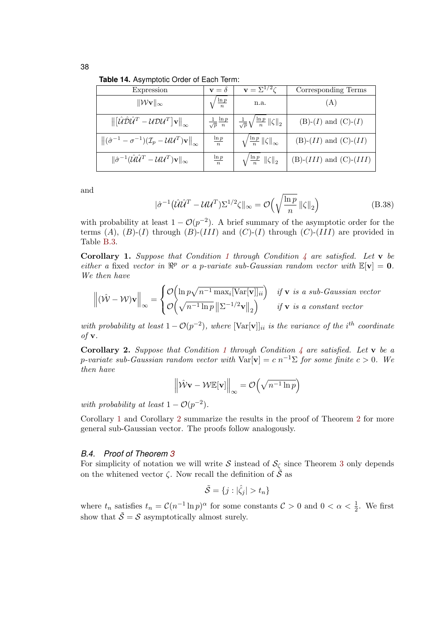38

<span id="page-37-0"></span>**Table 14.** Asymptotic Order of Each Term:

| Expression                                                                                                                                            | $\mathbf{v} = \delta$               | $\mathbf{v} = \Sigma^{1/2} \overline{\zeta}$              | Corresponding Terms         |
|-------------------------------------------------------------------------------------------------------------------------------------------------------|-------------------------------------|-----------------------------------------------------------|-----------------------------|
| $\ \mathcal{W}v\ _{\infty}$                                                                                                                           | $\frac{\ln p}{n}$                   | n.a.                                                      | (A)                         |
| $\left\  \left[ \hat{\mathcal{U}} \hat{\mathcal{D}} \hat{\mathcal{U}}^T - \mathcal{U} \mathcal{D} \mathcal{U}^T \right] \mathbf{v} \right\ _{\infty}$ | $\frac{1}{\sqrt{p}}\frac{\ln p}{n}$ | $\frac{1}{\sqrt{p}}\sqrt{\frac{\ln p}{n}}$ $\ \zeta\ _2$  | $(B)-(I)$ and $(C)-(I)$     |
| $\left\ (\hat{\sigma}^{-1}-\sigma^{-1})(\mathcal{I}_p-\mathcal{U}\mathcal{U}^T)\mathbf{v}\right\ _{\infty}$                                           | $rac{\ln p}{n}$                     | $\sqrt{\frac{\ln p}{n}}$ $\ \zeta\ _{\infty}$             | $(B)-(II)$ and $(C)-(II)$   |
| $\ \hat{\sigma}^{-1}(\hat{\mathcal{U}}\hat{\mathcal{U}}^T - \mathcal{U}\mathcal{U}^T)\mathbf{v}\ _{\infty}$                                           | $\frac{\ln p}{n}$                   | $\left\langle \frac{\ln p}{n} \right\rVert \zeta \Vert_2$ | $(B)-(III)$ and $(C)-(III)$ |

and

$$
|\hat{\sigma}^{-1}(\hat{\mathcal{U}}\hat{\mathcal{U}}^T - \mathcal{U}\mathcal{U}^T)\Sigma^{1/2}\zeta\|_{\infty} = \mathcal{O}\left(\sqrt{\frac{\ln p}{n}} \left\|\zeta\right\|_2\right)
$$
(B.38)

with probability at least  $1 - \mathcal{O}(p^{-2})$ . A brief summary of the asymptotic order for the terms  $(A)$ ,  $(B)-(I)$  through  $(B)-(III)$  and  $(C)-(I)$  through  $(C)-(III)$  are provided in Table [B.3.](#page-37-0)

<span id="page-37-1"></span>**Corollary [1](#page-7-0).** Suppose that Condition 1 through Condition  $\frac{1}{4}$  $\frac{1}{4}$  $\frac{1}{4}$  are satisfied. Let **v** be either a fixed vector in  $\mathbb{R}^p$  or a p-variate sub-Gaussian random vector with  $\mathbb{E}[\mathbf{v}] = \mathbf{0}$ . We then have

$$
\left\| (\hat{\mathcal{W}} - \mathcal{W}) \mathbf{v} \right\|_{\infty} = \begin{cases} \mathcal{O}\Big(\ln p \sqrt{n^{-1} \max_i [\text{Var}[\mathbf{v}]]_{ii}}\Big) & \text{if } \mathbf{v} \text{ is a sub-Gaussian vector} \\ \mathcal{O}\Big(\sqrt{n^{-1} \ln p} \left\| \Sigma^{-1/2} \mathbf{v} \right\|_2\Big) & \text{if } \mathbf{v} \text{ is a constant vector} \end{cases}
$$

with probability at least  $1 - \mathcal{O}(p^{-2})$ , where  $[\text{Var}[\mathbf{v}]]_{ii}$  is the variance of the i<sup>th</sup> coordinate of v.

<span id="page-37-2"></span>**Corollary 2.** Suppose that Condition [1](#page-7-0) through Condition [4](#page-12-0) are satisfied. Let v be a p-variate sub-Gaussian random vector with  $Var[\mathbf{v}] = c n^{-1} \Sigma$  for some finite  $c > 0$ . We then have

$$
\left\|\hat{\mathcal{W}}\mathbf{v} - \mathcal{W}\mathbb{E}[\mathbf{v}]\right\|_{\infty} = \mathcal{O}\left(\sqrt{n^{-1}\ln p}\right)
$$

with probability at least  $1 - \mathcal{O}(p^{-2})$ .

Corollary [1](#page-37-1) and Corollary [2](#page-37-2) summarize the results in the proof of Theorem [2](#page-13-0) for more general sub-Gaussian vector. The proofs follow analogously.

### *B.4. Proof of Theorem [3](#page-13-1)*

For simplicity of notation we will write S instead of  $S_{\zeta}$  since Theorem [3](#page-13-1) only depends on the whitened vector  $\zeta$ . Now recall the definition of  $\tilde{\mathcal{S}}$  as

$$
\tilde{\mathcal{S}} = \{j : |\hat{\zeta}_j| > t_n\}
$$

where  $t_n$  satisfies  $t_n = \mathcal{C}(n^{-1} \ln p)^{\alpha}$  for some constants  $\mathcal{C} > 0$  and  $0 < \alpha < \frac{1}{2}$ . We first show that  $\tilde{\mathcal{S}} = \mathcal{S}$  asymptotically almost surely.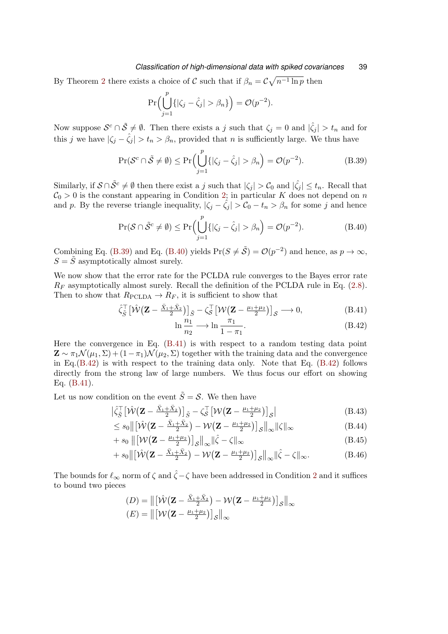By Theorem [2](#page-13-0) there exists a choice of  $\mathcal C$  such that if  $\beta_n = \mathcal{C}\sqrt{n^{-1}\ln p}$  then

$$
\Pr\Bigl(\bigcup_{j=1}^p \{|\zeta_j - \hat{\zeta}_j| > \beta_n\}\Bigr) = \mathcal{O}(p^{-2}).
$$

Now suppose  $\mathcal{S}^c \cap \tilde{\mathcal{S}} \neq \emptyset$ . Then there exists a j such that  $\zeta_j = 0$  and  $|\hat{\zeta}_j| > t_n$  and for this j we have  $|\zeta_i - \hat{\zeta}_i| > t_n > \beta_n$ , provided that n is sufficiently large. We thus have

<span id="page-38-0"></span>
$$
\Pr(\mathcal{S}^c \cap \tilde{\mathcal{S}} \neq \emptyset) \le \Pr\Big(\bigcup_{j=1}^p \{|\zeta_j - \hat{\zeta}_j| > \beta_n\Big) = \mathcal{O}(p^{-2}).\tag{B.39}
$$

Similarly, if  $S \cap \tilde{S}^c \neq \emptyset$  then there exist a j such that  $|\zeta_j| > C_0$  and  $|\hat{\zeta_j}| \leq t_n$ . Recall that  $C_0 > 0$  is the constant appearing in Condition [2;](#page-11-1) in particular K does not depend on n and p. By the reverse triangle inequality,  $|\zeta_j - \hat{\zeta_j}| > C_0 - t_n > \beta_n$  for some j and hence

<span id="page-38-1"></span>
$$
\Pr(\mathcal{S} \cap \tilde{\mathcal{S}}^c \neq \emptyset) \le \Pr\Big(\bigcup_{j=1}^p \{|\zeta_j - \hat{\zeta}_j| > \beta_n\Big) = \mathcal{O}(p^{-2}).\tag{B.40}
$$

Combining Eq. [\(B.39\)](#page-38-0) and Eq. [\(B.40\)](#page-38-1) yields  $Pr(S \neq \tilde{S}) = \mathcal{O}(p^{-2})$  and hence, as  $p \to \infty$ ,  $S = \tilde{S}$  asymptotically almost surely.

We now show that the error rate for the PCLDA rule converges to the Bayes error rate  $R_F$  asymptotically almost surely. Recall the definition of the PCLDA rule in Eq. [\(2.8\)](#page-9-0). Then to show that  $R_{\text{PCLDA}} \rightarrow R_F$ , it is sufficient to show that

$$
\hat{\zeta}_{\tilde{S}}^{\top} \left[ \hat{\mathcal{W}} \left( \mathbf{Z} - \frac{\bar{X}_1 + \bar{X}_2}{2} \right) \right]_{\tilde{S}} - \zeta_{\mathcal{S}}^{\top} \left[ \mathcal{W} \left( \mathbf{Z} - \frac{\mu_1 + \mu_2}{2} \right) \right]_{\mathcal{S}} \longrightarrow 0, \tag{B.41}
$$

<span id="page-38-6"></span><span id="page-38-5"></span><span id="page-38-4"></span><span id="page-38-3"></span><span id="page-38-2"></span>
$$
\ln \frac{n_1}{n_2} \longrightarrow \ln \frac{\pi_1}{1 - \pi_1}.\tag{B.42}
$$

Here the convergence in Eq. [\(B.41\)](#page-38-2) is with respect to a random testing data point  $\mathbf{Z} \sim \pi_1 \mathcal{N}(\mu_1, \Sigma) + (1 - \pi_1) \mathcal{N}(\mu_2, \Sigma)$  together with the training data and the convergence in Eq.[\(B.42\)](#page-38-3) is with respect to the training data only. Note that Eq. [\(B.42\)](#page-38-3) follows directly from the strong law of large numbers. We thus focus our effort on showing Eq. [\(B.41\)](#page-38-2).

Let us now condition on the event  $\tilde{S} = S$ . We then have

$$
\left| \hat{\zeta}_{\tilde{S}}^{\top} \left[ \hat{\mathcal{W}} \left( \mathbf{Z} - \frac{\bar{X}_1 + \bar{X}_2}{2} \right) \right]_{\tilde{S}} - \zeta_{\mathcal{S}}^{\top} \left[ \mathcal{W} \left( \mathbf{Z} - \frac{\mu_1 + \mu_2}{2} \right) \right]_{\mathcal{S}} \right| \tag{B.43}
$$

$$
\leq s_0 \|\left[\hat{\mathcal{W}}\left(\mathbf{Z} - \frac{\bar{X}_1 + \bar{X}_2}{2}\right) - \mathcal{W}\left(\mathbf{Z} - \frac{\mu_1 + \mu_2}{2}\right)\right]_{\mathcal{S}}\|_{\infty} \|\zeta\|_{\infty}
$$
(B.44)

$$
+ s_0 \left\| \left[ \mathcal{W} \left( \mathbf{Z} - \frac{\mu_1 + \mu_2}{2} \right) \right]_{\mathcal{S}} \right\|_{\infty} \| \hat{\zeta} - \zeta \|_{\infty}
$$
\n(B.45)

$$
+ s_0 \|\left[\hat{\mathcal{W}}\left(\mathbf{Z} - \frac{\bar{X}_1 + \bar{X}_2}{2}\right) - \mathcal{W}\left(\mathbf{Z} - \frac{\mu_1 + \mu_2}{2}\right)\right]_{\mathcal{S}}\|_{\infty}\|\hat{\zeta} - \zeta\|_{\infty}.
$$
 (B.46)

The bounds for  $\ell_{\infty}$  norm of  $\zeta$  and  $\hat{\zeta} - \zeta$  have been addressed in Condition [2](#page-11-1) and it suffices to bound two pieces

$$
(D) = \left\| \left[ \hat{\mathcal{W}} \left( \mathbf{Z} - \frac{\bar{X}_1 + \bar{X}_2}{2} \right) - \mathcal{W} \left( \mathbf{Z} - \frac{\mu_1 + \mu_2}{2} \right) \right]_{\mathcal{S}} \right\|_{\infty}
$$
  

$$
(E) = \left\| \left[ \mathcal{W} \left( \mathbf{Z} - \frac{\mu_1 + \mu_2}{2} \right) \right]_{\mathcal{S}} \right\|_{\infty}
$$